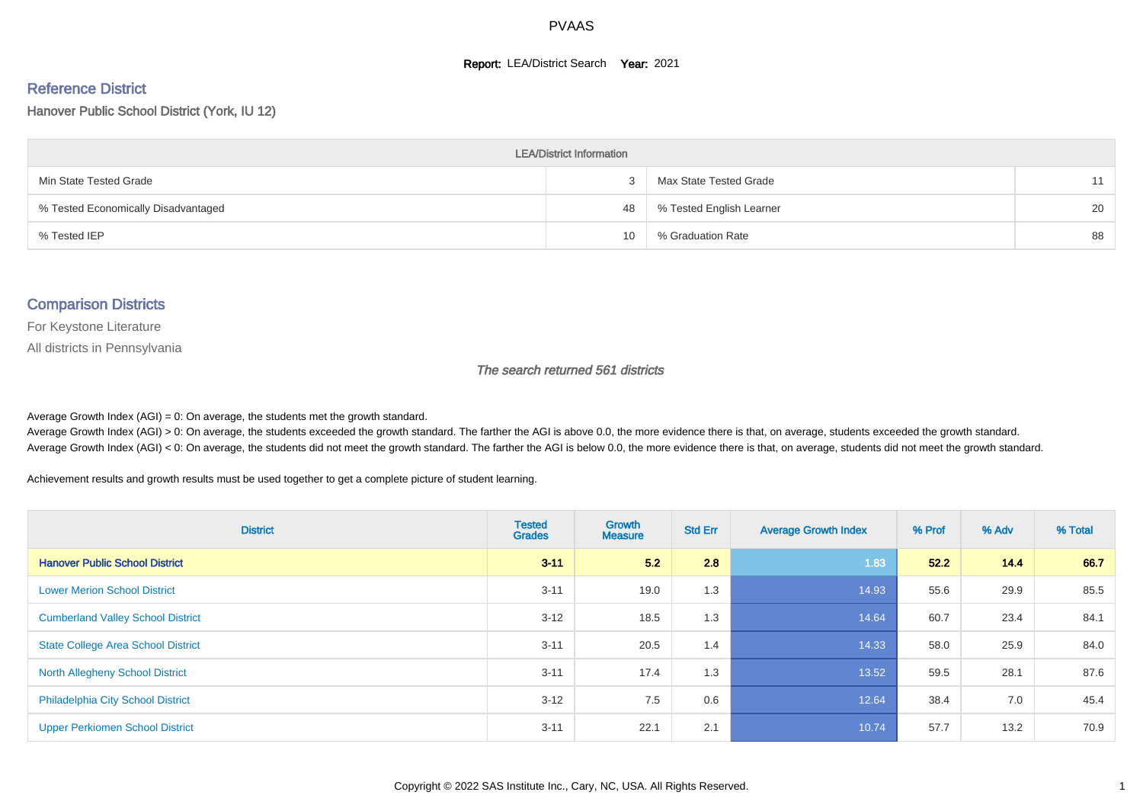#### **Report: LEA/District Search Year: 2021**

#### Reference District

Hanover Public School District (York, IU 12)

| <b>LEA/District Information</b>     |    |                          |    |  |  |  |  |  |  |
|-------------------------------------|----|--------------------------|----|--|--|--|--|--|--|
| Min State Tested Grade              |    | Max State Tested Grade   | 11 |  |  |  |  |  |  |
| % Tested Economically Disadvantaged | 48 | % Tested English Learner | 20 |  |  |  |  |  |  |
| % Tested IEP                        | 10 | % Graduation Rate        | 88 |  |  |  |  |  |  |

#### Comparison Districts

For Keystone Literature

All districts in Pennsylvania

The search returned 561 districts

Average Growth Index  $(AGI) = 0$ : On average, the students met the growth standard.

Average Growth Index (AGI) > 0: On average, the students exceeded the growth standard. The farther the AGI is above 0.0, the more evidence there is that, on average, students exceeded the growth standard. Average Growth Index (AGI) < 0: On average, the students did not meet the growth standard. The farther the AGI is below 0.0, the more evidence there is that, on average, students did not meet the growth standard.

Achievement results and growth results must be used together to get a complete picture of student learning.

| <b>District</b>                           | <b>Tested</b><br><b>Grades</b> | Growth<br><b>Measure</b> | <b>Std Err</b> | <b>Average Growth Index</b> | % Prof | % Adv | % Total |
|-------------------------------------------|--------------------------------|--------------------------|----------------|-----------------------------|--------|-------|---------|
| <b>Hanover Public School District</b>     | $3 - 11$                       | 5.2                      | 2.8            | 1.83                        | 52.2   | 14.4  | 66.7    |
| <b>Lower Merion School District</b>       | $3 - 11$                       | 19.0                     | 1.3            | 14.93                       | 55.6   | 29.9  | 85.5    |
| <b>Cumberland Valley School District</b>  | $3 - 12$                       | 18.5                     | 1.3            | 14.64                       | 60.7   | 23.4  | 84.1    |
| <b>State College Area School District</b> | $3 - 11$                       | 20.5                     | 1.4            | 14.33                       | 58.0   | 25.9  | 84.0    |
| <b>North Allegheny School District</b>    | $3 - 11$                       | 17.4                     | 1.3            | 13.52                       | 59.5   | 28.1  | 87.6    |
| <b>Philadelphia City School District</b>  | $3 - 12$                       | 7.5                      | 0.6            | 12.64                       | 38.4   | 7.0   | 45.4    |
| <b>Upper Perkiomen School District</b>    | $3 - 11$                       | 22.1                     | 2.1            | 10.74                       | 57.7   | 13.2  | 70.9    |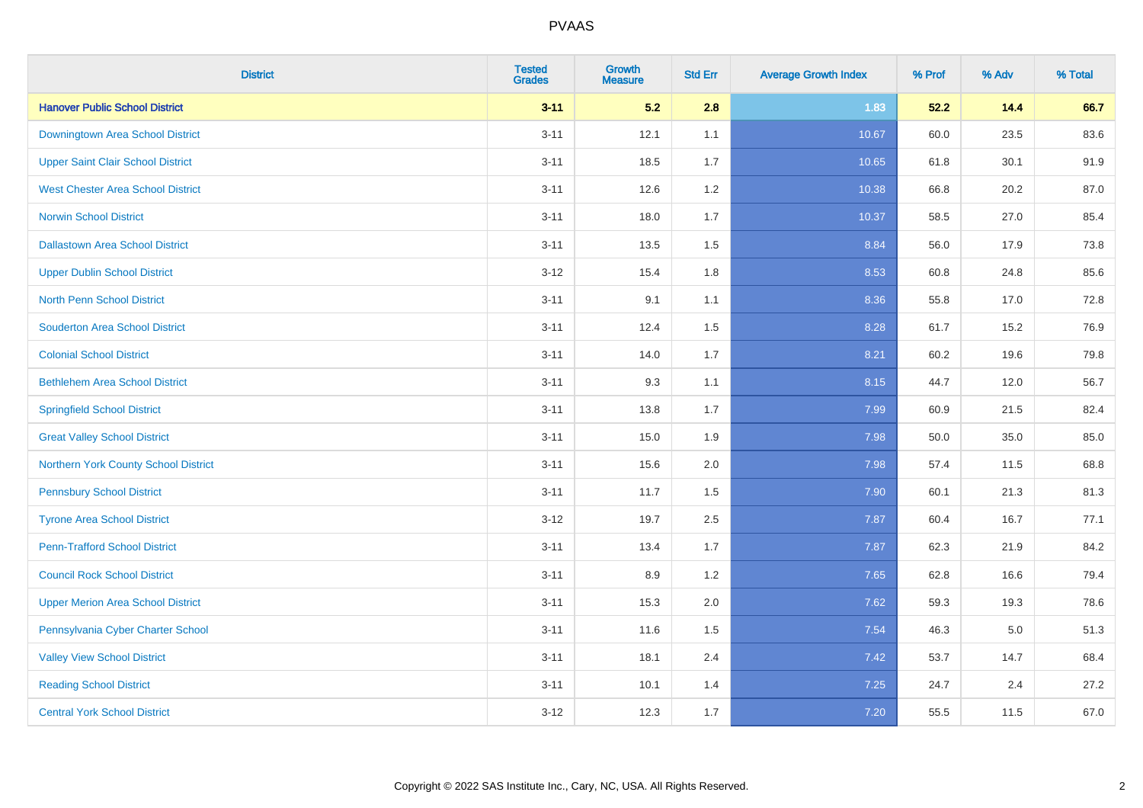| <b>District</b>                          | <b>Tested</b><br><b>Grades</b> | <b>Growth</b><br><b>Measure</b> | <b>Std Err</b> | <b>Average Growth Index</b> | % Prof | % Adv   | % Total |
|------------------------------------------|--------------------------------|---------------------------------|----------------|-----------------------------|--------|---------|---------|
| <b>Hanover Public School District</b>    | $3 - 11$                       | 5.2                             | 2.8            | 1.83                        | 52.2   | 14.4    | 66.7    |
| Downingtown Area School District         | $3 - 11$                       | 12.1                            | 1.1            | 10.67                       | 60.0   | 23.5    | 83.6    |
| <b>Upper Saint Clair School District</b> | $3 - 11$                       | 18.5                            | 1.7            | 10.65                       | 61.8   | 30.1    | 91.9    |
| <b>West Chester Area School District</b> | $3 - 11$                       | 12.6                            | 1.2            | 10.38                       | 66.8   | 20.2    | 87.0    |
| <b>Norwin School District</b>            | $3 - 11$                       | 18.0                            | 1.7            | 10.37                       | 58.5   | 27.0    | 85.4    |
| <b>Dallastown Area School District</b>   | $3 - 11$                       | 13.5                            | 1.5            | 8.84                        | 56.0   | 17.9    | 73.8    |
| <b>Upper Dublin School District</b>      | $3 - 12$                       | 15.4                            | 1.8            | 8.53                        | 60.8   | 24.8    | 85.6    |
| <b>North Penn School District</b>        | $3 - 11$                       | 9.1                             | 1.1            | 8.36                        | 55.8   | 17.0    | 72.8    |
| <b>Souderton Area School District</b>    | $3 - 11$                       | 12.4                            | 1.5            | 8.28                        | 61.7   | 15.2    | 76.9    |
| <b>Colonial School District</b>          | $3 - 11$                       | 14.0                            | 1.7            | 8.21                        | 60.2   | 19.6    | 79.8    |
| <b>Bethlehem Area School District</b>    | $3 - 11$                       | 9.3                             | 1.1            | 8.15                        | 44.7   | 12.0    | 56.7    |
| <b>Springfield School District</b>       | $3 - 11$                       | 13.8                            | 1.7            | 7.99                        | 60.9   | 21.5    | 82.4    |
| <b>Great Valley School District</b>      | $3 - 11$                       | 15.0                            | 1.9            | 7.98                        | 50.0   | 35.0    | 85.0    |
| Northern York County School District     | $3 - 11$                       | 15.6                            | 2.0            | 7.98                        | 57.4   | 11.5    | 68.8    |
| <b>Pennsbury School District</b>         | $3 - 11$                       | 11.7                            | 1.5            | 7.90                        | 60.1   | 21.3    | 81.3    |
| <b>Tyrone Area School District</b>       | $3 - 12$                       | 19.7                            | 2.5            | 7.87                        | 60.4   | 16.7    | 77.1    |
| <b>Penn-Trafford School District</b>     | $3 - 11$                       | 13.4                            | 1.7            | 7.87                        | 62.3   | 21.9    | 84.2    |
| <b>Council Rock School District</b>      | $3 - 11$                       | 8.9                             | 1.2            | 7.65                        | 62.8   | 16.6    | 79.4    |
| <b>Upper Merion Area School District</b> | $3 - 11$                       | 15.3                            | 2.0            | 7.62                        | 59.3   | 19.3    | 78.6    |
| Pennsylvania Cyber Charter School        | $3 - 11$                       | 11.6                            | 1.5            | 7.54                        | 46.3   | $5.0\,$ | 51.3    |
| <b>Valley View School District</b>       | $3 - 11$                       | 18.1                            | 2.4            | 7.42                        | 53.7   | 14.7    | 68.4    |
| <b>Reading School District</b>           | $3 - 11$                       | 10.1                            | 1.4            | 7.25                        | 24.7   | 2.4     | 27.2    |
| <b>Central York School District</b>      | $3 - 12$                       | 12.3                            | 1.7            | 7.20                        | 55.5   | 11.5    | 67.0    |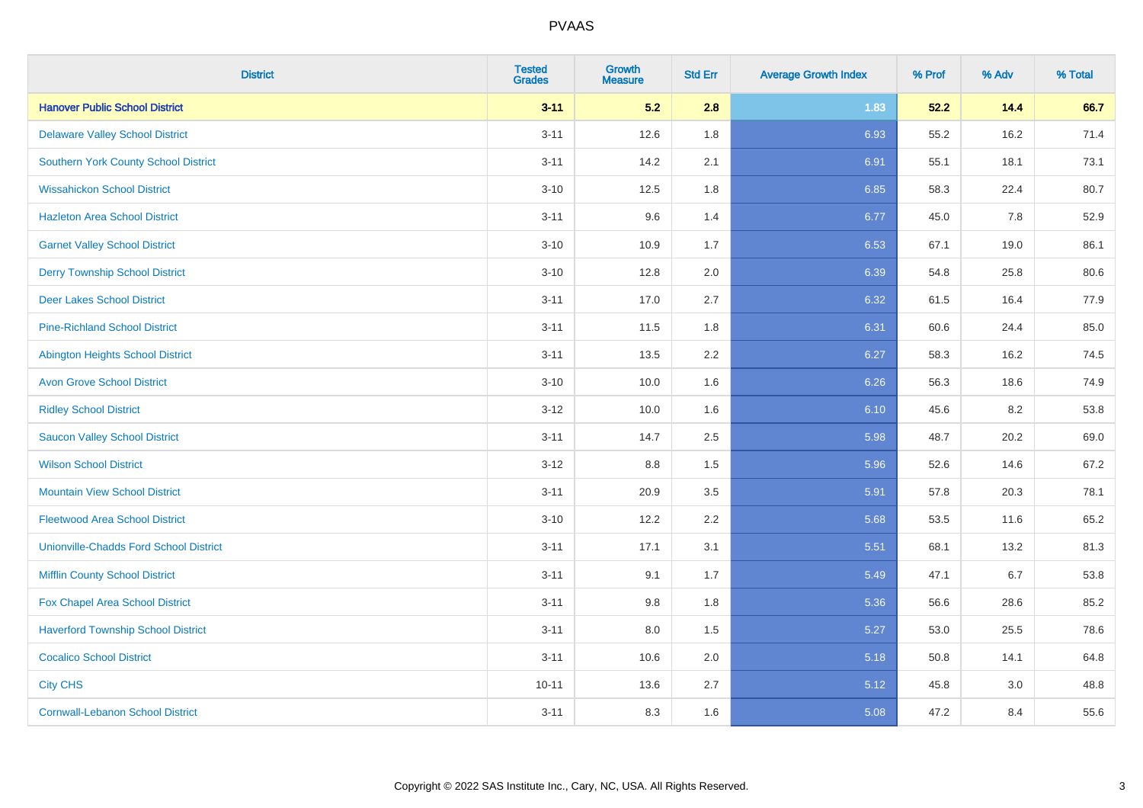| <b>District</b>                               | <b>Tested</b><br><b>Grades</b> | <b>Growth</b><br><b>Measure</b> | <b>Std Err</b> | <b>Average Growth Index</b> | % Prof | % Adv | % Total |
|-----------------------------------------------|--------------------------------|---------------------------------|----------------|-----------------------------|--------|-------|---------|
| <b>Hanover Public School District</b>         | $3 - 11$                       | 5.2                             | 2.8            | 1.83                        | 52.2   | 14.4  | 66.7    |
| <b>Delaware Valley School District</b>        | $3 - 11$                       | 12.6                            | 1.8            | 6.93                        | 55.2   | 16.2  | 71.4    |
| <b>Southern York County School District</b>   | $3 - 11$                       | 14.2                            | 2.1            | 6.91                        | 55.1   | 18.1  | 73.1    |
| <b>Wissahickon School District</b>            | $3 - 10$                       | 12.5                            | 1.8            | 6.85                        | 58.3   | 22.4  | 80.7    |
| <b>Hazleton Area School District</b>          | $3 - 11$                       | 9.6                             | 1.4            | 6.77                        | 45.0   | 7.8   | 52.9    |
| <b>Garnet Valley School District</b>          | $3 - 10$                       | 10.9                            | 1.7            | 6.53                        | 67.1   | 19.0  | 86.1    |
| <b>Derry Township School District</b>         | $3 - 10$                       | 12.8                            | 2.0            | 6.39                        | 54.8   | 25.8  | 80.6    |
| <b>Deer Lakes School District</b>             | $3 - 11$                       | 17.0                            | 2.7            | 6.32                        | 61.5   | 16.4  | 77.9    |
| <b>Pine-Richland School District</b>          | $3 - 11$                       | 11.5                            | 1.8            | 6.31                        | 60.6   | 24.4  | 85.0    |
| Abington Heights School District              | $3 - 11$                       | 13.5                            | 2.2            | 6.27                        | 58.3   | 16.2  | 74.5    |
| <b>Avon Grove School District</b>             | $3 - 10$                       | 10.0                            | 1.6            | 6.26                        | 56.3   | 18.6  | 74.9    |
| <b>Ridley School District</b>                 | $3 - 12$                       | 10.0                            | 1.6            | 6.10                        | 45.6   | 8.2   | 53.8    |
| <b>Saucon Valley School District</b>          | $3 - 11$                       | 14.7                            | 2.5            | 5.98                        | 48.7   | 20.2  | 69.0    |
| <b>Wilson School District</b>                 | $3-12$                         | 8.8                             | 1.5            | 5.96                        | 52.6   | 14.6  | 67.2    |
| <b>Mountain View School District</b>          | $3 - 11$                       | 20.9                            | 3.5            | 5.91                        | 57.8   | 20.3  | 78.1    |
| <b>Fleetwood Area School District</b>         | $3 - 10$                       | 12.2                            | 2.2            | 5.68                        | 53.5   | 11.6  | 65.2    |
| <b>Unionville-Chadds Ford School District</b> | $3 - 11$                       | 17.1                            | 3.1            | 5.51                        | 68.1   | 13.2  | 81.3    |
| <b>Mifflin County School District</b>         | $3 - 11$                       | 9.1                             | 1.7            | 5.49                        | 47.1   | 6.7   | 53.8    |
| Fox Chapel Area School District               | $3 - 11$                       | 9.8                             | 1.8            | 5.36                        | 56.6   | 28.6  | 85.2    |
| <b>Haverford Township School District</b>     | $3 - 11$                       | 8.0                             | 1.5            | 5.27                        | 53.0   | 25.5  | 78.6    |
| <b>Cocalico School District</b>               | $3 - 11$                       | 10.6                            | 2.0            | 5.18                        | 50.8   | 14.1  | 64.8    |
| <b>City CHS</b>                               | $10 - 11$                      | 13.6                            | 2.7            | 5.12                        | 45.8   | 3.0   | 48.8    |
| <b>Cornwall-Lebanon School District</b>       | $3 - 11$                       | 8.3                             | 1.6            | 5.08                        | 47.2   | 8.4   | 55.6    |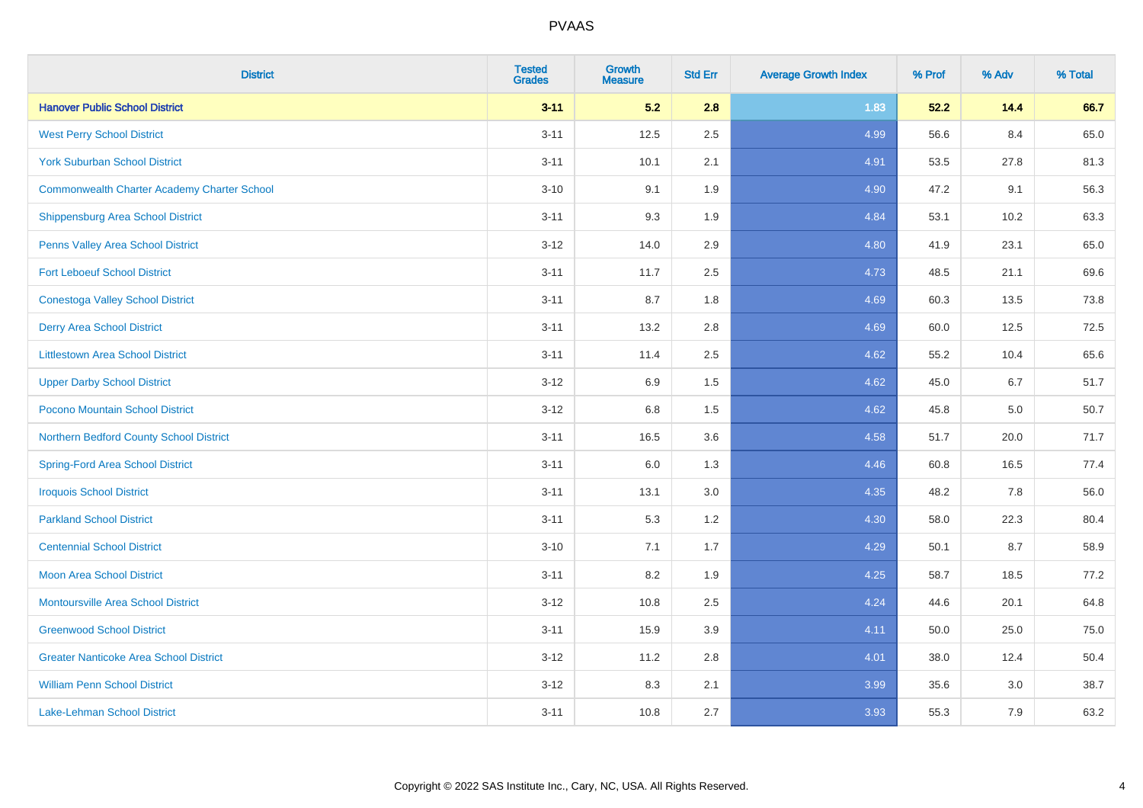| <b>District</b>                                    | <b>Tested</b><br><b>Grades</b> | Growth<br><b>Measure</b> | <b>Std Err</b> | <b>Average Growth Index</b> | % Prof | % Adv | % Total |
|----------------------------------------------------|--------------------------------|--------------------------|----------------|-----------------------------|--------|-------|---------|
| <b>Hanover Public School District</b>              | $3 - 11$                       | 5.2                      | 2.8            | 1.83                        | 52.2   | 14.4  | 66.7    |
| <b>West Perry School District</b>                  | $3 - 11$                       | 12.5                     | 2.5            | 4.99                        | 56.6   | 8.4   | 65.0    |
| <b>York Suburban School District</b>               | $3 - 11$                       | 10.1                     | 2.1            | 4.91                        | 53.5   | 27.8  | 81.3    |
| <b>Commonwealth Charter Academy Charter School</b> | $3 - 10$                       | 9.1                      | 1.9            | 4.90                        | 47.2   | 9.1   | 56.3    |
| Shippensburg Area School District                  | $3 - 11$                       | 9.3                      | 1.9            | 4.84                        | 53.1   | 10.2  | 63.3    |
| Penns Valley Area School District                  | $3 - 12$                       | 14.0                     | 2.9            | 4.80                        | 41.9   | 23.1  | 65.0    |
| <b>Fort Leboeuf School District</b>                | $3 - 11$                       | 11.7                     | 2.5            | 4.73                        | 48.5   | 21.1  | 69.6    |
| <b>Conestoga Valley School District</b>            | $3 - 11$                       | 8.7                      | 1.8            | 4.69                        | 60.3   | 13.5  | 73.8    |
| <b>Derry Area School District</b>                  | $3 - 11$                       | 13.2                     | 2.8            | 4.69                        | 60.0   | 12.5  | 72.5    |
| <b>Littlestown Area School District</b>            | $3 - 11$                       | 11.4                     | $2.5\,$        | 4.62                        | 55.2   | 10.4  | 65.6    |
| <b>Upper Darby School District</b>                 | $3 - 12$                       | 6.9                      | 1.5            | 4.62                        | 45.0   | 6.7   | 51.7    |
| Pocono Mountain School District                    | $3 - 12$                       | $6.8\,$                  | 1.5            | 4.62                        | 45.8   | 5.0   | 50.7    |
| Northern Bedford County School District            | $3 - 11$                       | 16.5                     | 3.6            | 4.58                        | 51.7   | 20.0  | 71.7    |
| <b>Spring-Ford Area School District</b>            | $3 - 11$                       | 6.0                      | 1.3            | 4.46                        | 60.8   | 16.5  | 77.4    |
| <b>Iroquois School District</b>                    | $3 - 11$                       | 13.1                     | 3.0            | 4.35                        | 48.2   | 7.8   | 56.0    |
| <b>Parkland School District</b>                    | $3 - 11$                       | 5.3                      | 1.2            | 4.30                        | 58.0   | 22.3  | 80.4    |
| <b>Centennial School District</b>                  | $3 - 10$                       | 7.1                      | 1.7            | 4.29                        | 50.1   | 8.7   | 58.9    |
| <b>Moon Area School District</b>                   | $3 - 11$                       | 8.2                      | 1.9            | 4.25                        | 58.7   | 18.5  | 77.2    |
| <b>Montoursville Area School District</b>          | $3 - 12$                       | 10.8                     | 2.5            | 4.24                        | 44.6   | 20.1  | 64.8    |
| <b>Greenwood School District</b>                   | $3 - 11$                       | 15.9                     | 3.9            | 4.11                        | 50.0   | 25.0  | 75.0    |
| <b>Greater Nanticoke Area School District</b>      | $3 - 12$                       | 11.2                     | 2.8            | 4.01                        | 38.0   | 12.4  | 50.4    |
| <b>William Penn School District</b>                | $3 - 12$                       | 8.3                      | 2.1            | 3.99                        | 35.6   | 3.0   | 38.7    |
| Lake-Lehman School District                        | $3 - 11$                       | 10.8                     | 2.7            | 3.93                        | 55.3   | 7.9   | 63.2    |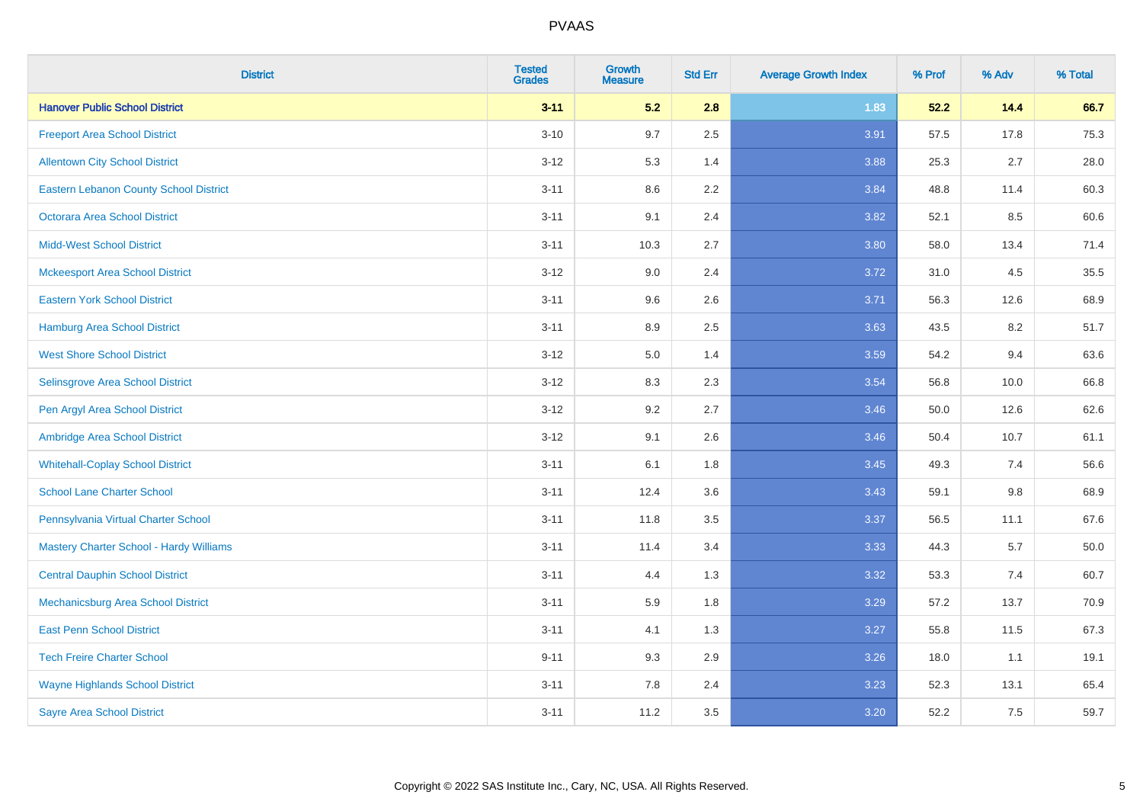| <b>District</b>                                | <b>Tested</b><br><b>Grades</b> | Growth<br><b>Measure</b> | <b>Std Err</b> | <b>Average Growth Index</b> | % Prof | % Adv   | % Total |
|------------------------------------------------|--------------------------------|--------------------------|----------------|-----------------------------|--------|---------|---------|
| <b>Hanover Public School District</b>          | $3 - 11$                       | 5.2                      | 2.8            | 1.83                        | 52.2   | 14.4    | 66.7    |
| <b>Freeport Area School District</b>           | $3 - 10$                       | 9.7                      | 2.5            | 3.91                        | 57.5   | 17.8    | 75.3    |
| <b>Allentown City School District</b>          | $3 - 12$                       | 5.3                      | 1.4            | 3.88                        | 25.3   | 2.7     | 28.0    |
| <b>Eastern Lebanon County School District</b>  | $3 - 11$                       | 8.6                      | 2.2            | 3.84                        | 48.8   | 11.4    | 60.3    |
| <b>Octorara Area School District</b>           | $3 - 11$                       | 9.1                      | 2.4            | 3.82                        | 52.1   | 8.5     | 60.6    |
| <b>Midd-West School District</b>               | $3 - 11$                       | 10.3                     | 2.7            | 3.80                        | 58.0   | 13.4    | 71.4    |
| <b>Mckeesport Area School District</b>         | $3 - 12$                       | 9.0                      | 2.4            | 3.72                        | 31.0   | 4.5     | 35.5    |
| <b>Eastern York School District</b>            | $3 - 11$                       | 9.6                      | 2.6            | 3.71                        | 56.3   | 12.6    | 68.9    |
| <b>Hamburg Area School District</b>            | $3 - 11$                       | 8.9                      | 2.5            | 3.63                        | 43.5   | 8.2     | 51.7    |
| <b>West Shore School District</b>              | $3-12$                         | 5.0                      | 1.4            | 3.59                        | 54.2   | 9.4     | 63.6    |
| Selinsgrove Area School District               | $3 - 12$                       | 8.3                      | 2.3            | 3.54                        | 56.8   | 10.0    | 66.8    |
| Pen Argyl Area School District                 | $3 - 12$                       | 9.2                      | 2.7            | 3.46                        | 50.0   | 12.6    | 62.6    |
| Ambridge Area School District                  | $3 - 12$                       | 9.1                      | 2.6            | 3.46                        | 50.4   | 10.7    | 61.1    |
| <b>Whitehall-Coplay School District</b>        | $3 - 11$                       | 6.1                      | 1.8            | 3.45                        | 49.3   | 7.4     | 56.6    |
| <b>School Lane Charter School</b>              | $3 - 11$                       | 12.4                     | 3.6            | 3.43                        | 59.1   | $9.8\,$ | 68.9    |
| Pennsylvania Virtual Charter School            | $3 - 11$                       | 11.8                     | 3.5            | 3.37                        | 56.5   | 11.1    | 67.6    |
| <b>Mastery Charter School - Hardy Williams</b> | $3 - 11$                       | 11.4                     | 3.4            | 3.33                        | 44.3   | 5.7     | 50.0    |
| <b>Central Dauphin School District</b>         | $3 - 11$                       | 4.4                      | 1.3            | 3.32                        | 53.3   | 7.4     | 60.7    |
| Mechanicsburg Area School District             | $3 - 11$                       | 5.9                      | 1.8            | 3.29                        | 57.2   | 13.7    | 70.9    |
| <b>East Penn School District</b>               | $3 - 11$                       | 4.1                      | 1.3            | 3.27                        | 55.8   | 11.5    | 67.3    |
| <b>Tech Freire Charter School</b>              | $9 - 11$                       | 9.3                      | 2.9            | 3.26                        | 18.0   | 1.1     | 19.1    |
| <b>Wayne Highlands School District</b>         | $3 - 11$                       | 7.8                      | 2.4            | 3.23                        | 52.3   | 13.1    | 65.4    |
| <b>Sayre Area School District</b>              | $3 - 11$                       | 11.2                     | 3.5            | 3.20                        | 52.2   | 7.5     | 59.7    |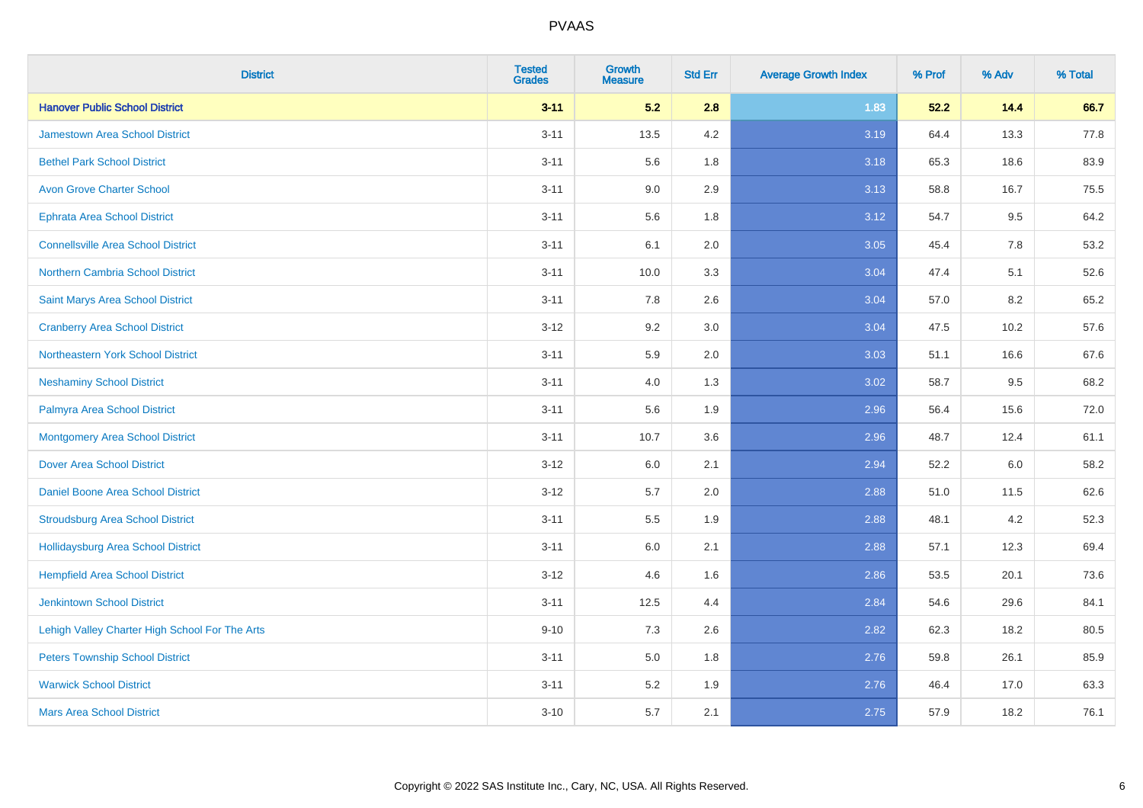| <b>District</b>                                | <b>Tested</b><br><b>Grades</b> | <b>Growth</b><br><b>Measure</b> | <b>Std Err</b> | <b>Average Growth Index</b> | % Prof | % Adv | % Total |
|------------------------------------------------|--------------------------------|---------------------------------|----------------|-----------------------------|--------|-------|---------|
| <b>Hanover Public School District</b>          | $3 - 11$                       | 5.2                             | 2.8            | 1.83                        | 52.2   | 14.4  | 66.7    |
| <b>Jamestown Area School District</b>          | $3 - 11$                       | 13.5                            | 4.2            | 3.19                        | 64.4   | 13.3  | 77.8    |
| <b>Bethel Park School District</b>             | $3 - 11$                       | 5.6                             | 1.8            | 3.18                        | 65.3   | 18.6  | 83.9    |
| <b>Avon Grove Charter School</b>               | $3 - 11$                       | 9.0                             | 2.9            | 3.13                        | 58.8   | 16.7  | 75.5    |
| <b>Ephrata Area School District</b>            | $3 - 11$                       | 5.6                             | 1.8            | 3.12                        | 54.7   | 9.5   | 64.2    |
| <b>Connellsville Area School District</b>      | $3 - 11$                       | 6.1                             | 2.0            | 3.05                        | 45.4   | 7.8   | 53.2    |
| Northern Cambria School District               | $3 - 11$                       | 10.0                            | 3.3            | 3.04                        | 47.4   | 5.1   | 52.6    |
| Saint Marys Area School District               | $3 - 11$                       | 7.8                             | 2.6            | 3.04                        | 57.0   | 8.2   | 65.2    |
| <b>Cranberry Area School District</b>          | $3 - 12$                       | 9.2                             | 3.0            | 3.04                        | 47.5   | 10.2  | 57.6    |
| Northeastern York School District              | $3 - 11$                       | 5.9                             | 2.0            | 3.03                        | 51.1   | 16.6  | 67.6    |
| <b>Neshaminy School District</b>               | $3 - 11$                       | 4.0                             | 1.3            | 3.02                        | 58.7   | 9.5   | 68.2    |
| Palmyra Area School District                   | $3 - 11$                       | 5.6                             | 1.9            | 2.96                        | 56.4   | 15.6  | 72.0    |
| <b>Montgomery Area School District</b>         | $3 - 11$                       | 10.7                            | 3.6            | 2.96                        | 48.7   | 12.4  | 61.1    |
| <b>Dover Area School District</b>              | $3 - 12$                       | 6.0                             | 2.1            | 2.94                        | 52.2   | 6.0   | 58.2    |
| <b>Daniel Boone Area School District</b>       | $3 - 12$                       | 5.7                             | 2.0            | 2.88                        | 51.0   | 11.5  | 62.6    |
| <b>Stroudsburg Area School District</b>        | $3 - 11$                       | 5.5                             | 1.9            | 2.88                        | 48.1   | 4.2   | 52.3    |
| Hollidaysburg Area School District             | $3 - 11$                       | 6.0                             | 2.1            | 2.88                        | 57.1   | 12.3  | 69.4    |
| <b>Hempfield Area School District</b>          | $3 - 12$                       | 4.6                             | 1.6            | 2.86                        | 53.5   | 20.1  | 73.6    |
| <b>Jenkintown School District</b>              | $3 - 11$                       | 12.5                            | 4.4            | 2.84                        | 54.6   | 29.6  | 84.1    |
| Lehigh Valley Charter High School For The Arts | $9 - 10$                       | 7.3                             | 2.6            | 2.82                        | 62.3   | 18.2  | 80.5    |
| <b>Peters Township School District</b>         | $3 - 11$                       | 5.0                             | 1.8            | 2.76                        | 59.8   | 26.1  | 85.9    |
| <b>Warwick School District</b>                 | $3 - 11$                       | 5.2                             | 1.9            | 2.76                        | 46.4   | 17.0  | 63.3    |
| <b>Mars Area School District</b>               | $3 - 10$                       | 5.7                             | 2.1            | 2.75                        | 57.9   | 18.2  | 76.1    |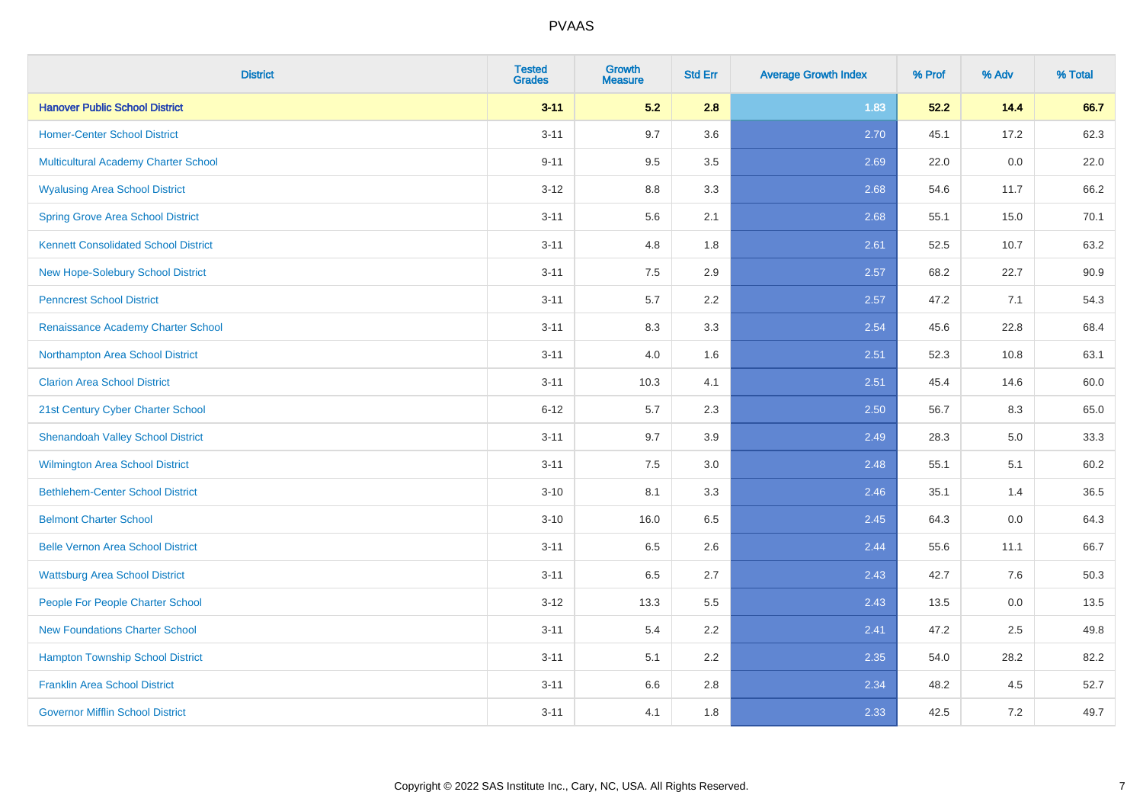| <b>District</b>                             | <b>Tested</b><br><b>Grades</b> | <b>Growth</b><br><b>Measure</b> | <b>Std Err</b> | <b>Average Growth Index</b> | % Prof | % Adv | % Total |
|---------------------------------------------|--------------------------------|---------------------------------|----------------|-----------------------------|--------|-------|---------|
| <b>Hanover Public School District</b>       | $3 - 11$                       | 5.2                             | 2.8            | 1.83                        | 52.2   | 14.4  | 66.7    |
| <b>Homer-Center School District</b>         | $3 - 11$                       | 9.7                             | 3.6            | 2.70                        | 45.1   | 17.2  | 62.3    |
| Multicultural Academy Charter School        | $9 - 11$                       | 9.5                             | 3.5            | 2.69                        | 22.0   | 0.0   | 22.0    |
| <b>Wyalusing Area School District</b>       | $3-12$                         | 8.8                             | 3.3            | 2.68                        | 54.6   | 11.7  | 66.2    |
| <b>Spring Grove Area School District</b>    | $3 - 11$                       | 5.6                             | 2.1            | 2.68                        | 55.1   | 15.0  | 70.1    |
| <b>Kennett Consolidated School District</b> | $3 - 11$                       | 4.8                             | 1.8            | 2.61                        | 52.5   | 10.7  | 63.2    |
| New Hope-Solebury School District           | $3 - 11$                       | 7.5                             | 2.9            | 2.57                        | 68.2   | 22.7  | 90.9    |
| <b>Penncrest School District</b>            | $3 - 11$                       | 5.7                             | 2.2            | 2.57                        | 47.2   | 7.1   | 54.3    |
| Renaissance Academy Charter School          | $3 - 11$                       | 8.3                             | 3.3            | 2.54                        | 45.6   | 22.8  | 68.4    |
| Northampton Area School District            | $3 - 11$                       | 4.0                             | 1.6            | 2.51                        | 52.3   | 10.8  | 63.1    |
| <b>Clarion Area School District</b>         | $3 - 11$                       | 10.3                            | 4.1            | 2.51                        | 45.4   | 14.6  | 60.0    |
| 21st Century Cyber Charter School           | $6 - 12$                       | 5.7                             | 2.3            | 2.50                        | 56.7   | 8.3   | 65.0    |
| <b>Shenandoah Valley School District</b>    | $3 - 11$                       | 9.7                             | 3.9            | 2.49                        | 28.3   | 5.0   | 33.3    |
| <b>Wilmington Area School District</b>      | $3 - 11$                       | $7.5\,$                         | 3.0            | 2.48                        | 55.1   | 5.1   | 60.2    |
| <b>Bethlehem-Center School District</b>     | $3 - 10$                       | 8.1                             | 3.3            | 2.46                        | 35.1   | 1.4   | 36.5    |
| <b>Belmont Charter School</b>               | $3 - 10$                       | 16.0                            | 6.5            | 2.45                        | 64.3   | 0.0   | 64.3    |
| <b>Belle Vernon Area School District</b>    | $3 - 11$                       | 6.5                             | 2.6            | 2.44                        | 55.6   | 11.1  | 66.7    |
| <b>Wattsburg Area School District</b>       | $3 - 11$                       | 6.5                             | 2.7            | 2.43                        | 42.7   | 7.6   | 50.3    |
| People For People Charter School            | $3 - 12$                       | 13.3                            | 5.5            | 2.43                        | 13.5   | 0.0   | 13.5    |
| <b>New Foundations Charter School</b>       | $3 - 11$                       | 5.4                             | 2.2            | 2.41                        | 47.2   | 2.5   | 49.8    |
| <b>Hampton Township School District</b>     | $3 - 11$                       | 5.1                             | 2.2            | 2.35                        | 54.0   | 28.2  | 82.2    |
| <b>Franklin Area School District</b>        | $3 - 11$                       | 6.6                             | 2.8            | 2.34                        | 48.2   | 4.5   | 52.7    |
| <b>Governor Mifflin School District</b>     | $3 - 11$                       | 4.1                             | 1.8            | 2.33                        | 42.5   | 7.2   | 49.7    |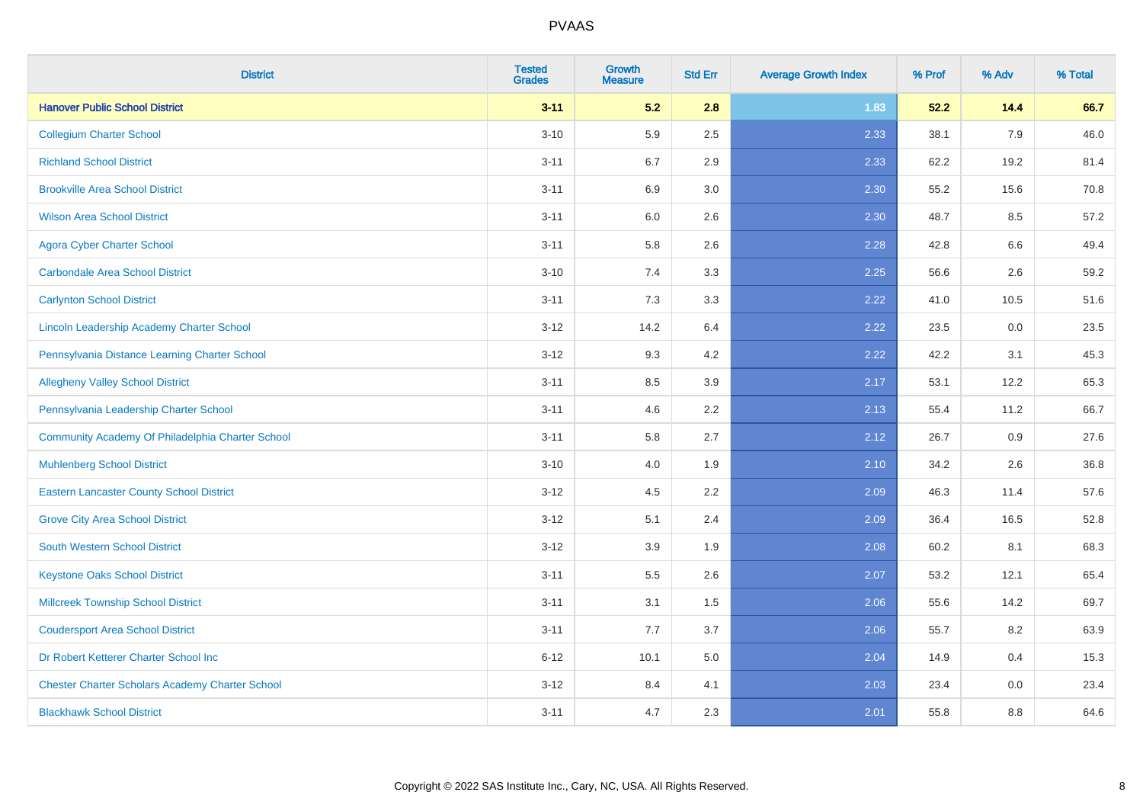| <b>District</b>                                        | <b>Tested</b><br><b>Grades</b> | <b>Growth</b><br><b>Measure</b> | <b>Std Err</b> | <b>Average Growth Index</b> | % Prof | % Adv | % Total |
|--------------------------------------------------------|--------------------------------|---------------------------------|----------------|-----------------------------|--------|-------|---------|
| <b>Hanover Public School District</b>                  | $3 - 11$                       | 5.2                             | 2.8            | 1.83                        | 52.2   | 14.4  | 66.7    |
| <b>Collegium Charter School</b>                        | $3 - 10$                       | 5.9                             | 2.5            | 2.33                        | 38.1   | 7.9   | 46.0    |
| <b>Richland School District</b>                        | $3 - 11$                       | 6.7                             | 2.9            | 2.33                        | 62.2   | 19.2  | 81.4    |
| <b>Brookville Area School District</b>                 | $3 - 11$                       | 6.9                             | 3.0            | 2.30                        | 55.2   | 15.6  | 70.8    |
| <b>Wilson Area School District</b>                     | $3 - 11$                       | 6.0                             | 2.6            | 2.30                        | 48.7   | 8.5   | 57.2    |
| <b>Agora Cyber Charter School</b>                      | $3 - 11$                       | 5.8                             | 2.6            | 2.28                        | 42.8   | 6.6   | 49.4    |
| <b>Carbondale Area School District</b>                 | $3 - 10$                       | 7.4                             | 3.3            | 2.25                        | 56.6   | 2.6   | 59.2    |
| <b>Carlynton School District</b>                       | $3 - 11$                       | 7.3                             | 3.3            | 2.22                        | 41.0   | 10.5  | 51.6    |
| Lincoln Leadership Academy Charter School              | $3 - 12$                       | 14.2                            | 6.4            | 2.22                        | 23.5   | 0.0   | 23.5    |
| Pennsylvania Distance Learning Charter School          | $3 - 12$                       | 9.3                             | 4.2            | 2.22                        | 42.2   | 3.1   | 45.3    |
| <b>Allegheny Valley School District</b>                | $3 - 11$                       | 8.5                             | 3.9            | 2.17                        | 53.1   | 12.2  | 65.3    |
| Pennsylvania Leadership Charter School                 | $3 - 11$                       | 4.6                             | 2.2            | 2.13                        | 55.4   | 11.2  | 66.7    |
| Community Academy Of Philadelphia Charter School       | $3 - 11$                       | 5.8                             | 2.7            | 2.12                        | 26.7   | 0.9   | 27.6    |
| <b>Muhlenberg School District</b>                      | $3 - 10$                       | 4.0                             | 1.9            | 2.10                        | 34.2   | 2.6   | 36.8    |
| <b>Eastern Lancaster County School District</b>        | $3-12$                         | 4.5                             | 2.2            | 2.09                        | 46.3   | 11.4  | 57.6    |
| <b>Grove City Area School District</b>                 | $3-12$                         | 5.1                             | 2.4            | 2.09                        | 36.4   | 16.5  | 52.8    |
| <b>South Western School District</b>                   | $3 - 12$                       | 3.9                             | 1.9            | 2.08                        | 60.2   | 8.1   | 68.3    |
| <b>Keystone Oaks School District</b>                   | $3 - 11$                       | 5.5                             | 2.6            | 2.07                        | 53.2   | 12.1  | 65.4    |
| <b>Millcreek Township School District</b>              | $3 - 11$                       | 3.1                             | 1.5            | 2.06                        | 55.6   | 14.2  | 69.7    |
| <b>Coudersport Area School District</b>                | $3 - 11$                       | 7.7                             | 3.7            | 2.06                        | 55.7   | 8.2   | 63.9    |
| Dr Robert Ketterer Charter School Inc                  | $6 - 12$                       | 10.1                            | 5.0            | 2.04                        | 14.9   | 0.4   | 15.3    |
| <b>Chester Charter Scholars Academy Charter School</b> | $3 - 12$                       | 8.4                             | 4.1            | 2.03                        | 23.4   | 0.0   | 23.4    |
| <b>Blackhawk School District</b>                       | $3 - 11$                       | 4.7                             | 2.3            | 2.01                        | 55.8   | 8.8   | 64.6    |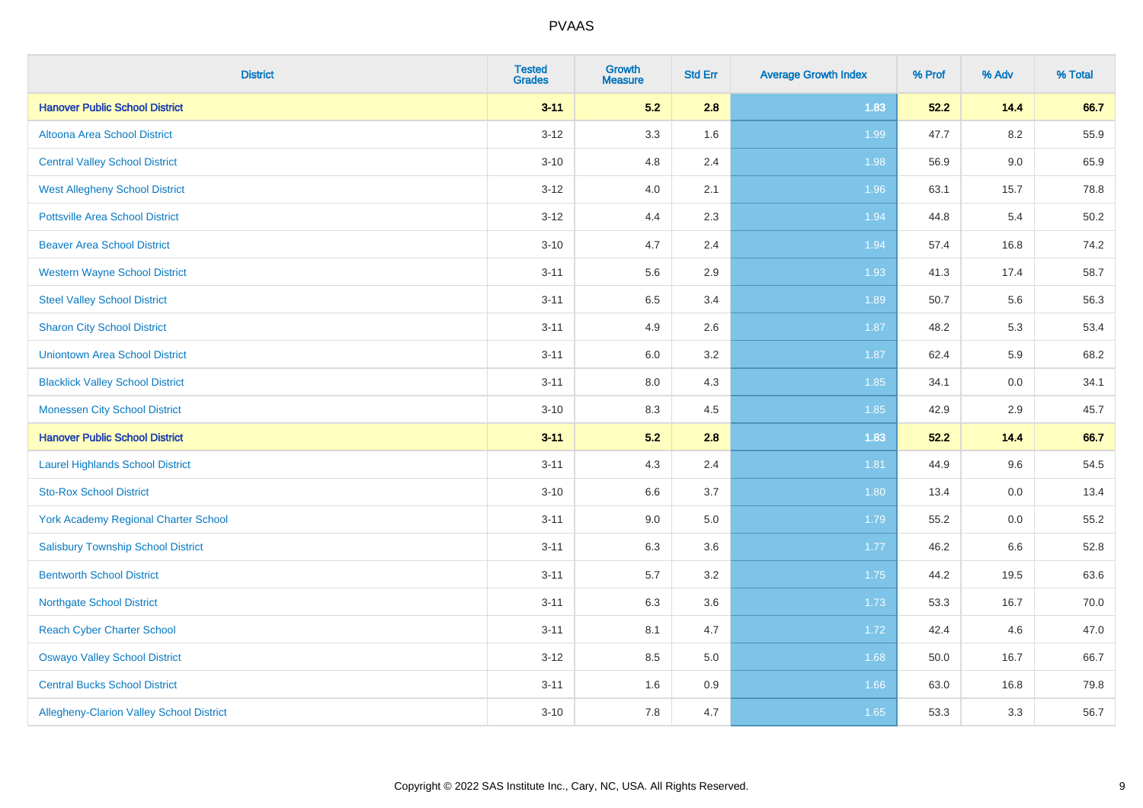| <b>District</b>                                 | <b>Tested</b><br><b>Grades</b> | <b>Growth</b><br><b>Measure</b> | <b>Std Err</b> | <b>Average Growth Index</b> | % Prof | % Adv   | % Total |
|-------------------------------------------------|--------------------------------|---------------------------------|----------------|-----------------------------|--------|---------|---------|
| <b>Hanover Public School District</b>           | $3 - 11$                       | 5.2                             | 2.8            | 1.83                        | 52.2   | 14.4    | 66.7    |
| Altoona Area School District                    | $3 - 12$                       | 3.3                             | 1.6            | 1.99                        | 47.7   | $8.2\,$ | 55.9    |
| <b>Central Valley School District</b>           | $3 - 10$                       | 4.8                             | 2.4            | 1.98                        | 56.9   | $9.0\,$ | 65.9    |
| <b>West Allegheny School District</b>           | $3 - 12$                       | 4.0                             | 2.1            | 1.96                        | 63.1   | 15.7    | 78.8    |
| <b>Pottsville Area School District</b>          | $3 - 12$                       | 4.4                             | 2.3            | 1.94                        | 44.8   | 5.4     | 50.2    |
| <b>Beaver Area School District</b>              | $3 - 10$                       | 4.7                             | 2.4            | 1.94                        | 57.4   | 16.8    | 74.2    |
| <b>Western Wayne School District</b>            | $3 - 11$                       | 5.6                             | 2.9            | 1.93                        | 41.3   | 17.4    | 58.7    |
| <b>Steel Valley School District</b>             | $3 - 11$                       | 6.5                             | 3.4            | 1.89                        | 50.7   | 5.6     | 56.3    |
| <b>Sharon City School District</b>              | $3 - 11$                       | 4.9                             | 2.6            | 1.87                        | 48.2   | 5.3     | 53.4    |
| <b>Uniontown Area School District</b>           | $3 - 11$                       | 6.0                             | 3.2            | 1.87                        | 62.4   | 5.9     | 68.2    |
| <b>Blacklick Valley School District</b>         | $3 - 11$                       | 8.0                             | 4.3            | 1.85                        | 34.1   | 0.0     | 34.1    |
| <b>Monessen City School District</b>            | $3 - 10$                       | 8.3                             | 4.5            | 1.85                        | 42.9   | 2.9     | 45.7    |
| <b>Hanover Public School District</b>           | $3 - 11$                       | 5.2                             | 2.8            | 1.83                        | 52.2   | 14.4    | 66.7    |
| <b>Laurel Highlands School District</b>         | $3 - 11$                       | 4.3                             | 2.4            | 1.81                        | 44.9   | 9.6     | 54.5    |
| <b>Sto-Rox School District</b>                  | $3 - 10$                       | 6.6                             | 3.7            | 1.80                        | 13.4   | 0.0     | 13.4    |
| <b>York Academy Regional Charter School</b>     | $3 - 11$                       | 9.0                             | 5.0            | 1.79                        | 55.2   | $0.0\,$ | 55.2    |
| <b>Salisbury Township School District</b>       | $3 - 11$                       | 6.3                             | 3.6            | $1.77$                      | 46.2   | 6.6     | 52.8    |
| <b>Bentworth School District</b>                | $3 - 11$                       | 5.7                             | 3.2            | 1.75                        | 44.2   | 19.5    | 63.6    |
| <b>Northgate School District</b>                | $3 - 11$                       | 6.3                             | 3.6            | 1.73                        | 53.3   | 16.7    | 70.0    |
| <b>Reach Cyber Charter School</b>               | $3 - 11$                       | 8.1                             | 4.7            | 1.72                        | 42.4   | 4.6     | 47.0    |
| <b>Oswayo Valley School District</b>            | $3-12$                         | 8.5                             | 5.0            | 1.68                        | 50.0   | 16.7    | 66.7    |
| <b>Central Bucks School District</b>            | $3 - 11$                       | 1.6                             | 0.9            | 1.66                        | 63.0   | 16.8    | 79.8    |
| <b>Allegheny-Clarion Valley School District</b> | $3 - 10$                       | 7.8                             | 4.7            | 1.65                        | 53.3   | 3.3     | 56.7    |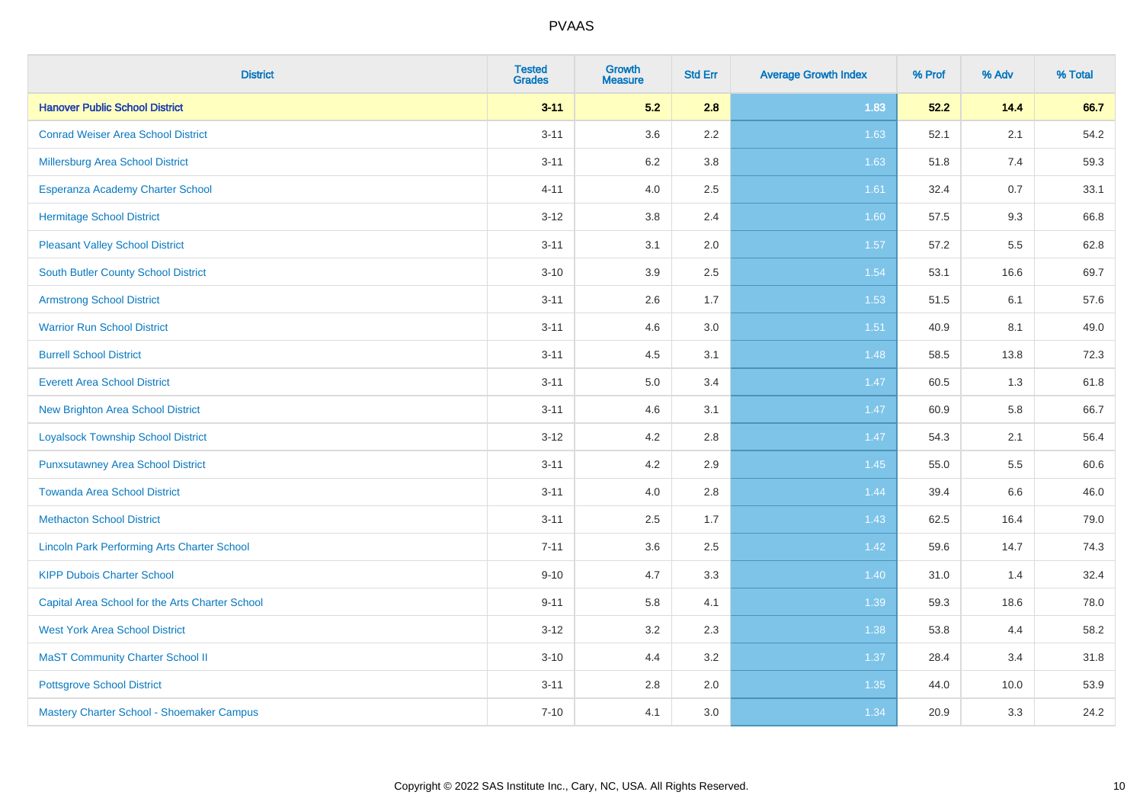| <b>District</b>                                    | <b>Tested</b><br><b>Grades</b> | <b>Growth</b><br><b>Measure</b> | <b>Std Err</b> | <b>Average Growth Index</b> | % Prof | % Adv | % Total |
|----------------------------------------------------|--------------------------------|---------------------------------|----------------|-----------------------------|--------|-------|---------|
| <b>Hanover Public School District</b>              | $3 - 11$                       | 5.2                             | 2.8            | 1.83                        | 52.2   | 14.4  | 66.7    |
| <b>Conrad Weiser Area School District</b>          | $3 - 11$                       | 3.6                             | 2.2            | 1.63                        | 52.1   | 2.1   | 54.2    |
| Millersburg Area School District                   | $3 - 11$                       | $6.2\,$                         | 3.8            | 1.63                        | 51.8   | 7.4   | 59.3    |
| Esperanza Academy Charter School                   | $4 - 11$                       | 4.0                             | 2.5            | 1.61                        | 32.4   | 0.7   | 33.1    |
| <b>Hermitage School District</b>                   | $3 - 12$                       | 3.8                             | 2.4            | 1.60                        | 57.5   | 9.3   | 66.8    |
| <b>Pleasant Valley School District</b>             | $3 - 11$                       | 3.1                             | 2.0            | 1.57                        | 57.2   | 5.5   | 62.8    |
| <b>South Butler County School District</b>         | $3 - 10$                       | 3.9                             | 2.5            | 1.54                        | 53.1   | 16.6  | 69.7    |
| <b>Armstrong School District</b>                   | $3 - 11$                       | 2.6                             | 1.7            | 1.53                        | 51.5   | 6.1   | 57.6    |
| <b>Warrior Run School District</b>                 | $3 - 11$                       | 4.6                             | 3.0            | 1.51                        | 40.9   | 8.1   | 49.0    |
| <b>Burrell School District</b>                     | $3 - 11$                       | 4.5                             | 3.1            | 1.48                        | 58.5   | 13.8  | 72.3    |
| <b>Everett Area School District</b>                | $3 - 11$                       | 5.0                             | 3.4            | 1.47                        | 60.5   | 1.3   | 61.8    |
| <b>New Brighton Area School District</b>           | $3 - 11$                       | 4.6                             | 3.1            | 1.47                        | 60.9   | 5.8   | 66.7    |
| <b>Loyalsock Township School District</b>          | $3 - 12$                       | 4.2                             | 2.8            | 1.47                        | 54.3   | 2.1   | 56.4    |
| <b>Punxsutawney Area School District</b>           | $3 - 11$                       | 4.2                             | 2.9            | 1.45                        | 55.0   | 5.5   | 60.6    |
| <b>Towanda Area School District</b>                | $3 - 11$                       | 4.0                             | 2.8            | 1.44                        | 39.4   | 6.6   | 46.0    |
| <b>Methacton School District</b>                   | $3 - 11$                       | 2.5                             | 1.7            | 1.43                        | 62.5   | 16.4  | 79.0    |
| <b>Lincoln Park Performing Arts Charter School</b> | $7 - 11$                       | 3.6                             | 2.5            | 1.42                        | 59.6   | 14.7  | 74.3    |
| <b>KIPP Dubois Charter School</b>                  | $9 - 10$                       | 4.7                             | 3.3            | 1.40                        | 31.0   | 1.4   | 32.4    |
| Capital Area School for the Arts Charter School    | $9 - 11$                       | 5.8                             | 4.1            | 1.39                        | 59.3   | 18.6  | 78.0    |
| <b>West York Area School District</b>              | $3-12$                         | 3.2                             | 2.3            | 1.38                        | 53.8   | 4.4   | 58.2    |
| <b>MaST Community Charter School II</b>            | $3 - 10$                       | 4.4                             | 3.2            | 1.37                        | 28.4   | 3.4   | 31.8    |
| <b>Pottsgrove School District</b>                  | $3 - 11$                       | 2.8                             | 2.0            | 1.35                        | 44.0   | 10.0  | 53.9    |
| Mastery Charter School - Shoemaker Campus          | $7 - 10$                       | 4.1                             | 3.0            | 1.34                        | 20.9   | 3.3   | 24.2    |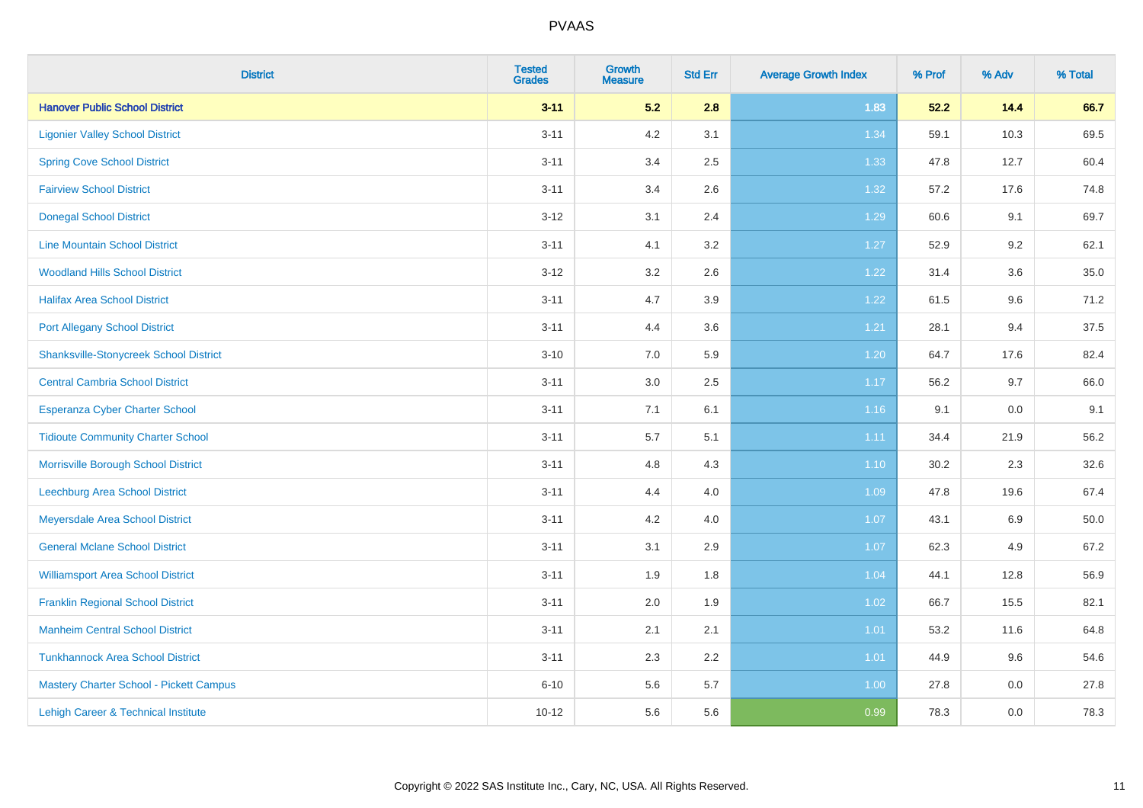| <b>District</b>                               | <b>Tested</b><br><b>Grades</b> | <b>Growth</b><br><b>Measure</b> | <b>Std Err</b> | <b>Average Growth Index</b> | % Prof | % Adv | % Total |
|-----------------------------------------------|--------------------------------|---------------------------------|----------------|-----------------------------|--------|-------|---------|
| <b>Hanover Public School District</b>         | $3 - 11$                       | 5.2                             | 2.8            | 1.83                        | 52.2   | 14.4  | 66.7    |
| <b>Ligonier Valley School District</b>        | $3 - 11$                       | 4.2                             | 3.1            | 1.34                        | 59.1   | 10.3  | 69.5    |
| <b>Spring Cove School District</b>            | $3 - 11$                       | 3.4                             | 2.5            | 1.33                        | 47.8   | 12.7  | 60.4    |
| <b>Fairview School District</b>               | $3 - 11$                       | 3.4                             | 2.6            | 1.32                        | 57.2   | 17.6  | 74.8    |
| <b>Donegal School District</b>                | $3 - 12$                       | 3.1                             | 2.4            | 1.29                        | 60.6   | 9.1   | 69.7    |
| <b>Line Mountain School District</b>          | $3 - 11$                       | 4.1                             | 3.2            | 1.27                        | 52.9   | 9.2   | 62.1    |
| <b>Woodland Hills School District</b>         | $3 - 12$                       | 3.2                             | 2.6            | 1.22                        | 31.4   | 3.6   | 35.0    |
| <b>Halifax Area School District</b>           | $3 - 11$                       | 4.7                             | 3.9            | 1.22                        | 61.5   | 9.6   | 71.2    |
| <b>Port Allegany School District</b>          | $3 - 11$                       | 4.4                             | 3.6            | 1.21                        | 28.1   | 9.4   | 37.5    |
| <b>Shanksville-Stonycreek School District</b> | $3 - 10$                       | 7.0                             | 5.9            | 1.20                        | 64.7   | 17.6  | 82.4    |
| <b>Central Cambria School District</b>        | $3 - 11$                       | 3.0                             | 2.5            | 1.17                        | 56.2   | 9.7   | 66.0    |
| Esperanza Cyber Charter School                | $3 - 11$                       | 7.1                             | 6.1            | 1.16                        | 9.1    | 0.0   | 9.1     |
| <b>Tidioute Community Charter School</b>      | $3 - 11$                       | $5.7\,$                         | 5.1            | 1.11                        | 34.4   | 21.9  | 56.2    |
| Morrisville Borough School District           | $3 - 11$                       | 4.8                             | 4.3            | $1.10$                      | 30.2   | 2.3   | 32.6    |
| <b>Leechburg Area School District</b>         | $3 - 11$                       | 4.4                             | 4.0            | 1.09                        | 47.8   | 19.6  | 67.4    |
| Meyersdale Area School District               | $3 - 11$                       | 4.2                             | 4.0            | 1.07                        | 43.1   | 6.9   | 50.0    |
| <b>General Mclane School District</b>         | $3 - 11$                       | 3.1                             | 2.9            | 1.07                        | 62.3   | 4.9   | 67.2    |
| <b>Williamsport Area School District</b>      | $3 - 11$                       | 1.9                             | 1.8            | 1.04                        | 44.1   | 12.8  | 56.9    |
| <b>Franklin Regional School District</b>      | $3 - 11$                       | 2.0                             | 1.9            | 1.02                        | 66.7   | 15.5  | 82.1    |
| <b>Manheim Central School District</b>        | $3 - 11$                       | 2.1                             | 2.1            | $1.01$                      | 53.2   | 11.6  | 64.8    |
| <b>Tunkhannock Area School District</b>       | $3 - 11$                       | 2.3                             | 2.2            | 1.01                        | 44.9   | 9.6   | 54.6    |
| Mastery Charter School - Pickett Campus       | $6 - 10$                       | 5.6                             | 5.7            | 1.00                        | 27.8   | 0.0   | 27.8    |
| Lehigh Career & Technical Institute           | $10 - 12$                      | 5.6                             | 5.6            | 0.99                        | 78.3   | 0.0   | 78.3    |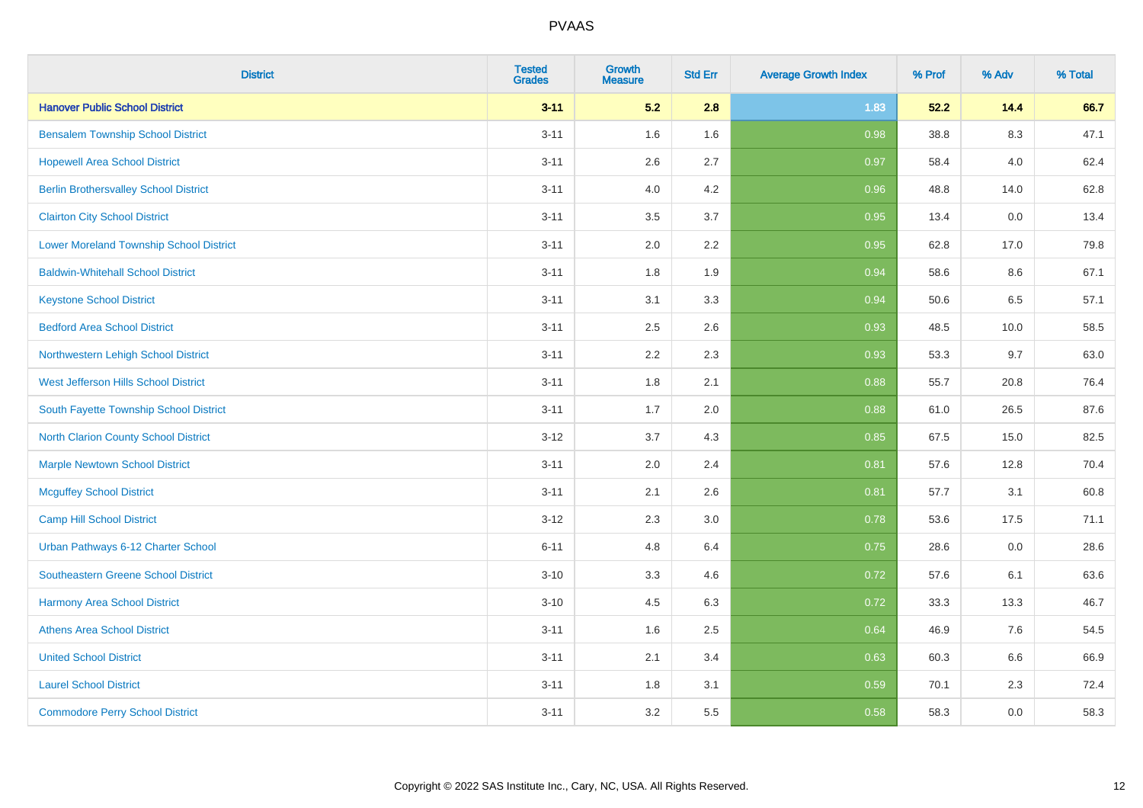| <b>District</b>                                | <b>Tested</b><br><b>Grades</b> | <b>Growth</b><br><b>Measure</b> | <b>Std Err</b> | <b>Average Growth Index</b> | % Prof | % Adv   | % Total |
|------------------------------------------------|--------------------------------|---------------------------------|----------------|-----------------------------|--------|---------|---------|
| <b>Hanover Public School District</b>          | $3 - 11$                       | 5.2                             | 2.8            | 1.83                        | 52.2   | 14.4    | 66.7    |
| <b>Bensalem Township School District</b>       | $3 - 11$                       | 1.6                             | 1.6            | 0.98                        | 38.8   | $8.3\,$ | 47.1    |
| <b>Hopewell Area School District</b>           | $3 - 11$                       | 2.6                             | 2.7            | 0.97                        | 58.4   | 4.0     | 62.4    |
| <b>Berlin Brothersvalley School District</b>   | $3 - 11$                       | 4.0                             | 4.2            | 0.96                        | 48.8   | 14.0    | 62.8    |
| <b>Clairton City School District</b>           | $3 - 11$                       | 3.5                             | 3.7            | 0.95                        | 13.4   | 0.0     | 13.4    |
| <b>Lower Moreland Township School District</b> | $3 - 11$                       | 2.0                             | 2.2            | 0.95                        | 62.8   | 17.0    | 79.8    |
| <b>Baldwin-Whitehall School District</b>       | $3 - 11$                       | 1.8                             | 1.9            | 0.94                        | 58.6   | 8.6     | 67.1    |
| <b>Keystone School District</b>                | $3 - 11$                       | 3.1                             | 3.3            | 0.94                        | 50.6   | 6.5     | 57.1    |
| <b>Bedford Area School District</b>            | $3 - 11$                       | 2.5                             | 2.6            | 0.93                        | 48.5   | 10.0    | 58.5    |
| Northwestern Lehigh School District            | $3 - 11$                       | 2.2                             | 2.3            | 0.93                        | 53.3   | 9.7     | 63.0    |
| West Jefferson Hills School District           | $3 - 11$                       | 1.8                             | 2.1            | 0.88                        | 55.7   | 20.8    | 76.4    |
| South Fayette Township School District         | $3 - 11$                       | 1.7                             | 2.0            | 0.88                        | 61.0   | 26.5    | 87.6    |
| <b>North Clarion County School District</b>    | $3 - 12$                       | 3.7                             | 4.3            | 0.85                        | 67.5   | 15.0    | 82.5    |
| <b>Marple Newtown School District</b>          | $3 - 11$                       | 2.0                             | 2.4            | 0.81                        | 57.6   | 12.8    | 70.4    |
| <b>Mcguffey School District</b>                | $3 - 11$                       | 2.1                             | 2.6            | 0.81                        | 57.7   | 3.1     | 60.8    |
| <b>Camp Hill School District</b>               | $3 - 12$                       | 2.3                             | 3.0            | 0.78                        | 53.6   | 17.5    | 71.1    |
| Urban Pathways 6-12 Charter School             | $6 - 11$                       | 4.8                             | 6.4            | 0.75                        | 28.6   | 0.0     | 28.6    |
| Southeastern Greene School District            | $3 - 10$                       | 3.3                             | 4.6            | $\overline{0.72}$           | 57.6   | 6.1     | 63.6    |
| <b>Harmony Area School District</b>            | $3 - 10$                       | 4.5                             | 6.3            | 0.72                        | 33.3   | 13.3    | 46.7    |
| <b>Athens Area School District</b>             | $3 - 11$                       | 1.6                             | 2.5            | 0.64                        | 46.9   | 7.6     | 54.5    |
| <b>United School District</b>                  | $3 - 11$                       | 2.1                             | 3.4            | 0.63                        | 60.3   | 6.6     | 66.9    |
| <b>Laurel School District</b>                  | $3 - 11$                       | 1.8                             | 3.1            | 0.59                        | 70.1   | 2.3     | 72.4    |
| <b>Commodore Perry School District</b>         | $3 - 11$                       | 3.2                             | 5.5            | 0.58                        | 58.3   | 0.0     | 58.3    |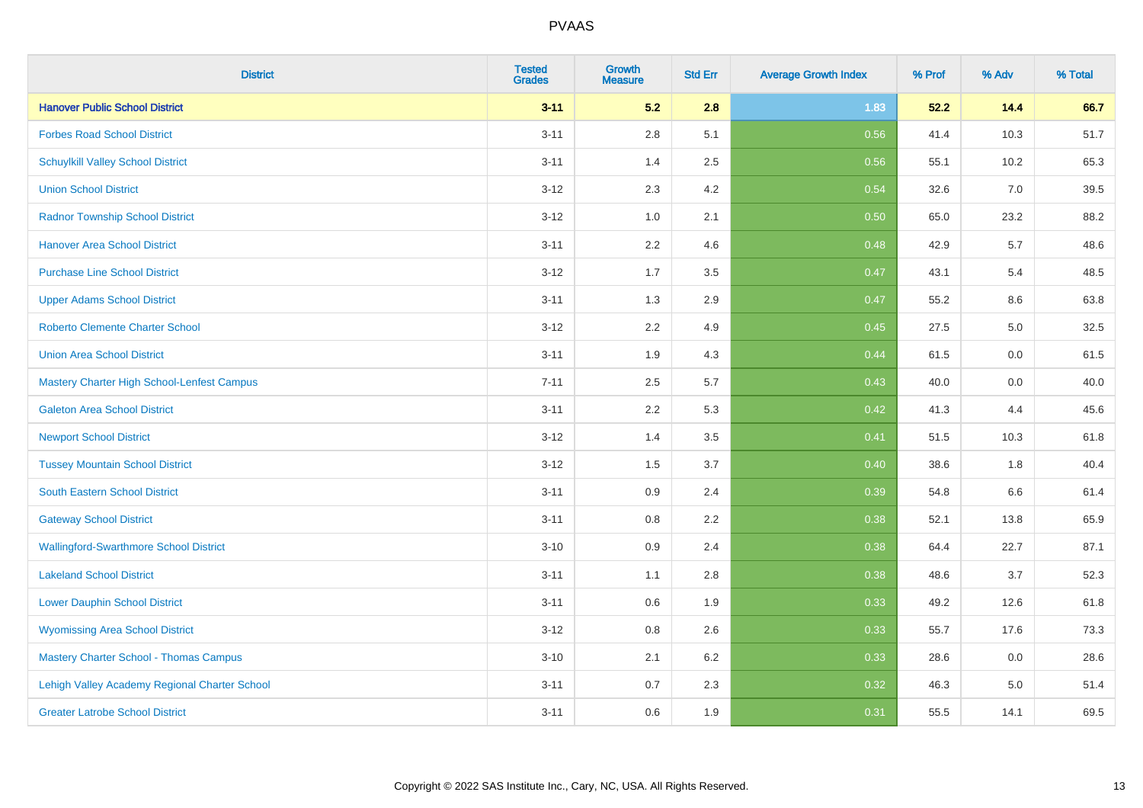| <b>District</b>                               | <b>Tested</b><br><b>Grades</b> | <b>Growth</b><br><b>Measure</b> | <b>Std Err</b> | <b>Average Growth Index</b> | % Prof | % Adv | % Total |
|-----------------------------------------------|--------------------------------|---------------------------------|----------------|-----------------------------|--------|-------|---------|
| <b>Hanover Public School District</b>         | $3 - 11$                       | 5.2                             | 2.8            | 1.83                        | 52.2   | 14.4  | 66.7    |
| <b>Forbes Road School District</b>            | $3 - 11$                       | 2.8                             | 5.1            | 0.56                        | 41.4   | 10.3  | 51.7    |
| <b>Schuylkill Valley School District</b>      | $3 - 11$                       | 1.4                             | 2.5            | 0.56                        | 55.1   | 10.2  | 65.3    |
| <b>Union School District</b>                  | $3 - 12$                       | 2.3                             | 4.2            | 0.54                        | 32.6   | 7.0   | 39.5    |
| <b>Radnor Township School District</b>        | $3 - 12$                       | 1.0                             | 2.1            | 0.50                        | 65.0   | 23.2  | 88.2    |
| <b>Hanover Area School District</b>           | $3 - 11$                       | 2.2                             | 4.6            | 0.48                        | 42.9   | 5.7   | 48.6    |
| <b>Purchase Line School District</b>          | $3 - 12$                       | 1.7                             | 3.5            | 0.47                        | 43.1   | 5.4   | 48.5    |
| <b>Upper Adams School District</b>            | $3 - 11$                       | 1.3                             | 2.9            | 0.47                        | 55.2   | 8.6   | 63.8    |
| Roberto Clemente Charter School               | $3 - 12$                       | 2.2                             | 4.9            | 0.45                        | 27.5   | 5.0   | 32.5    |
| <b>Union Area School District</b>             | $3 - 11$                       | 1.9                             | 4.3            | 0.44                        | 61.5   | 0.0   | 61.5    |
| Mastery Charter High School-Lenfest Campus    | $7 - 11$                       | 2.5                             | 5.7            | 0.43                        | 40.0   | 0.0   | 40.0    |
| <b>Galeton Area School District</b>           | $3 - 11$                       | 2.2                             | 5.3            | 0.42                        | 41.3   | 4.4   | 45.6    |
| <b>Newport School District</b>                | $3 - 12$                       | 1.4                             | 3.5            | 0.41                        | 51.5   | 10.3  | 61.8    |
| <b>Tussey Mountain School District</b>        | $3 - 12$                       | 1.5                             | 3.7            | 0.40                        | 38.6   | 1.8   | 40.4    |
| South Eastern School District                 | $3 - 11$                       | 0.9                             | 2.4            | 0.39                        | 54.8   | 6.6   | 61.4    |
| <b>Gateway School District</b>                | $3 - 11$                       | 0.8                             | 2.2            | 0.38                        | 52.1   | 13.8  | 65.9    |
| <b>Wallingford-Swarthmore School District</b> | $3 - 10$                       | 0.9                             | 2.4            | 0.38                        | 64.4   | 22.7  | 87.1    |
| <b>Lakeland School District</b>               | $3 - 11$                       | 1.1                             | 2.8            | 0.38                        | 48.6   | 3.7   | 52.3    |
| <b>Lower Dauphin School District</b>          | $3 - 11$                       | 0.6                             | 1.9            | 0.33                        | 49.2   | 12.6  | 61.8    |
| <b>Wyomissing Area School District</b>        | $3 - 12$                       | $0.8\,$                         | 2.6            | 0.33                        | 55.7   | 17.6  | 73.3    |
| <b>Mastery Charter School - Thomas Campus</b> | $3 - 10$                       | 2.1                             | 6.2            | 0.33                        | 28.6   | 0.0   | 28.6    |
| Lehigh Valley Academy Regional Charter School | $3 - 11$                       | 0.7                             | 2.3            | 0.32                        | 46.3   | 5.0   | 51.4    |
| <b>Greater Latrobe School District</b>        | $3 - 11$                       | 0.6                             | 1.9            | 0.31                        | 55.5   | 14.1  | 69.5    |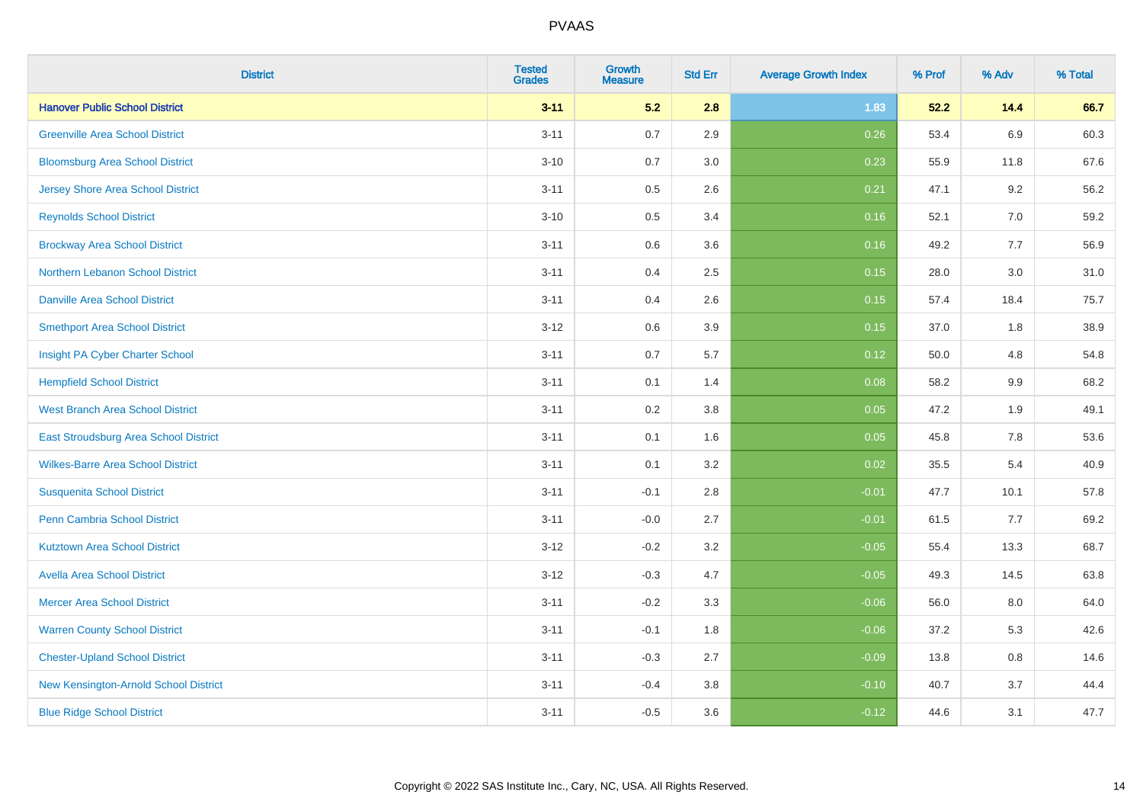| <b>District</b>                          | <b>Tested</b><br><b>Grades</b> | Growth<br><b>Measure</b> | <b>Std Err</b> | <b>Average Growth Index</b> | % Prof | % Adv   | % Total |
|------------------------------------------|--------------------------------|--------------------------|----------------|-----------------------------|--------|---------|---------|
| <b>Hanover Public School District</b>    | $3 - 11$                       | 5.2                      | 2.8            | 1.83                        | 52.2   | 14.4    | 66.7    |
| <b>Greenville Area School District</b>   | $3 - 11$                       | 0.7                      | 2.9            | 0.26                        | 53.4   | 6.9     | 60.3    |
| <b>Bloomsburg Area School District</b>   | $3 - 10$                       | 0.7                      | 3.0            | 0.23                        | 55.9   | 11.8    | 67.6    |
| <b>Jersey Shore Area School District</b> | $3 - 11$                       | 0.5                      | 2.6            | 0.21                        | 47.1   | 9.2     | 56.2    |
| <b>Reynolds School District</b>          | $3 - 10$                       | 0.5                      | 3.4            | 0.16                        | 52.1   | 7.0     | 59.2    |
| <b>Brockway Area School District</b>     | $3 - 11$                       | 0.6                      | 3.6            | 0.16                        | 49.2   | 7.7     | 56.9    |
| Northern Lebanon School District         | $3 - 11$                       | 0.4                      | 2.5            | 0.15                        | 28.0   | 3.0     | 31.0    |
| <b>Danville Area School District</b>     | $3 - 11$                       | 0.4                      | 2.6            | 0.15                        | 57.4   | 18.4    | 75.7    |
| <b>Smethport Area School District</b>    | $3 - 12$                       | 0.6                      | 3.9            | 0.15                        | 37.0   | 1.8     | 38.9    |
| Insight PA Cyber Charter School          | $3 - 11$                       | 0.7                      | 5.7            | 0.12                        | 50.0   | 4.8     | 54.8    |
| <b>Hempfield School District</b>         | $3 - 11$                       | 0.1                      | 1.4            | 0.08                        | 58.2   | 9.9     | 68.2    |
| <b>West Branch Area School District</b>  | $3 - 11$                       | 0.2                      | 3.8            | 0.05                        | 47.2   | 1.9     | 49.1    |
| East Stroudsburg Area School District    | $3 - 11$                       | 0.1                      | 1.6            | 0.05                        | 45.8   | $7.8\,$ | 53.6    |
| <b>Wilkes-Barre Area School District</b> | $3 - 11$                       | 0.1                      | 3.2            | 0.02                        | 35.5   | 5.4     | 40.9    |
| <b>Susquenita School District</b>        | $3 - 11$                       | $-0.1$                   | 2.8            | $-0.01$                     | 47.7   | 10.1    | 57.8    |
| Penn Cambria School District             | $3 - 11$                       | $-0.0$                   | 2.7            | $-0.01$                     | 61.5   | 7.7     | 69.2    |
| <b>Kutztown Area School District</b>     | $3 - 12$                       | $-0.2$                   | 3.2            | $-0.05$                     | 55.4   | 13.3    | 68.7    |
| <b>Avella Area School District</b>       | $3 - 12$                       | $-0.3$                   | 4.7            | $-0.05$                     | 49.3   | 14.5    | 63.8    |
| <b>Mercer Area School District</b>       | $3 - 11$                       | $-0.2$                   | 3.3            | $-0.06$                     | 56.0   | 8.0     | 64.0    |
| <b>Warren County School District</b>     | $3 - 11$                       | $-0.1$                   | 1.8            | $-0.06$                     | 37.2   | 5.3     | 42.6    |
| <b>Chester-Upland School District</b>    | $3 - 11$                       | $-0.3$                   | 2.7            | $-0.09$                     | 13.8   | 0.8     | 14.6    |
| New Kensington-Arnold School District    | $3 - 11$                       | $-0.4$                   | 3.8            | $-0.10$                     | 40.7   | 3.7     | 44.4    |
| <b>Blue Ridge School District</b>        | $3 - 11$                       | $-0.5$                   | 3.6            | $-0.12$                     | 44.6   | 3.1     | 47.7    |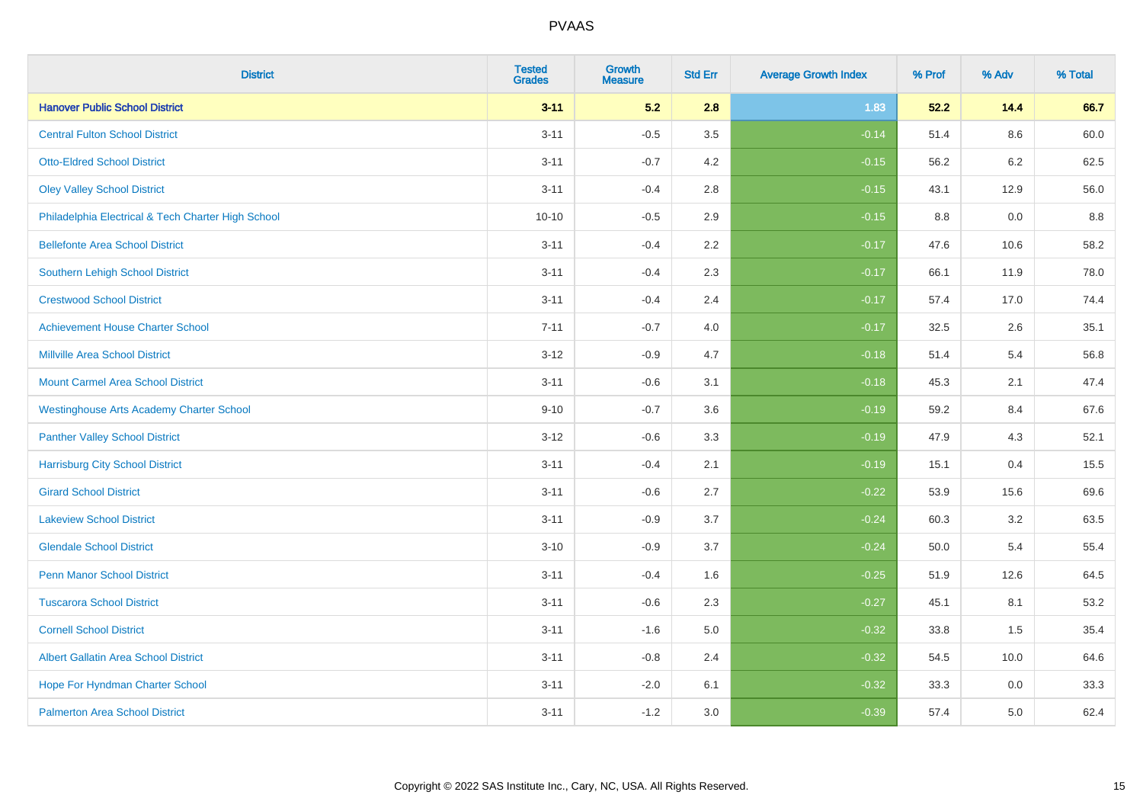| <b>District</b>                                    | <b>Tested</b><br><b>Grades</b> | <b>Growth</b><br><b>Measure</b> | <b>Std Err</b> | <b>Average Growth Index</b> | % Prof | % Adv   | % Total |
|----------------------------------------------------|--------------------------------|---------------------------------|----------------|-----------------------------|--------|---------|---------|
| <b>Hanover Public School District</b>              | $3 - 11$                       | 5.2                             | 2.8            | 1.83                        | 52.2   | 14.4    | 66.7    |
| <b>Central Fulton School District</b>              | $3 - 11$                       | $-0.5$                          | 3.5            | $-0.14$                     | 51.4   | $8.6\,$ | 60.0    |
| <b>Otto-Eldred School District</b>                 | $3 - 11$                       | $-0.7$                          | 4.2            | $-0.15$                     | 56.2   | 6.2     | 62.5    |
| <b>Oley Valley School District</b>                 | $3 - 11$                       | $-0.4$                          | 2.8            | $-0.15$                     | 43.1   | 12.9    | 56.0    |
| Philadelphia Electrical & Tech Charter High School | $10 - 10$                      | $-0.5$                          | 2.9            | $-0.15$                     | 8.8    | 0.0     | 8.8     |
| <b>Bellefonte Area School District</b>             | $3 - 11$                       | $-0.4$                          | 2.2            | $-0.17$                     | 47.6   | 10.6    | 58.2    |
| Southern Lehigh School District                    | $3 - 11$                       | $-0.4$                          | 2.3            | $-0.17$                     | 66.1   | 11.9    | 78.0    |
| <b>Crestwood School District</b>                   | $3 - 11$                       | $-0.4$                          | 2.4            | $-0.17$                     | 57.4   | 17.0    | 74.4    |
| <b>Achievement House Charter School</b>            | $7 - 11$                       | $-0.7$                          | 4.0            | $-0.17$                     | 32.5   | 2.6     | 35.1    |
| <b>Millville Area School District</b>              | $3 - 12$                       | $-0.9$                          | 4.7            | $-0.18$                     | 51.4   | 5.4     | 56.8    |
| <b>Mount Carmel Area School District</b>           | $3 - 11$                       | $-0.6$                          | 3.1            | $-0.18$                     | 45.3   | 2.1     | 47.4    |
| <b>Westinghouse Arts Academy Charter School</b>    | $9 - 10$                       | $-0.7$                          | 3.6            | $-0.19$                     | 59.2   | 8.4     | 67.6    |
| <b>Panther Valley School District</b>              | $3-12$                         | $-0.6$                          | 3.3            | $-0.19$                     | 47.9   | 4.3     | 52.1    |
| <b>Harrisburg City School District</b>             | $3 - 11$                       | $-0.4$                          | 2.1            | $-0.19$                     | 15.1   | 0.4     | 15.5    |
| <b>Girard School District</b>                      | $3 - 11$                       | $-0.6$                          | 2.7            | $-0.22$                     | 53.9   | 15.6    | 69.6    |
| <b>Lakeview School District</b>                    | $3 - 11$                       | $-0.9$                          | 3.7            | $-0.24$                     | 60.3   | 3.2     | 63.5    |
| <b>Glendale School District</b>                    | $3 - 10$                       | $-0.9$                          | 3.7            | $-0.24$                     | 50.0   | 5.4     | 55.4    |
| <b>Penn Manor School District</b>                  | $3 - 11$                       | $-0.4$                          | 1.6            | $-0.25$                     | 51.9   | 12.6    | 64.5    |
| <b>Tuscarora School District</b>                   | $3 - 11$                       | $-0.6$                          | 2.3            | $-0.27$                     | 45.1   | 8.1     | 53.2    |
| <b>Cornell School District</b>                     | $3 - 11$                       | $-1.6$                          | 5.0            | $-0.32$                     | 33.8   | 1.5     | 35.4    |
| <b>Albert Gallatin Area School District</b>        | $3 - 11$                       | $-0.8$                          | 2.4            | $-0.32$                     | 54.5   | 10.0    | 64.6    |
| Hope For Hyndman Charter School                    | $3 - 11$                       | $-2.0$                          | 6.1            | $-0.32$                     | 33.3   | 0.0     | 33.3    |
| <b>Palmerton Area School District</b>              | $3 - 11$                       | $-1.2$                          | 3.0            | $-0.39$                     | 57.4   | 5.0     | 62.4    |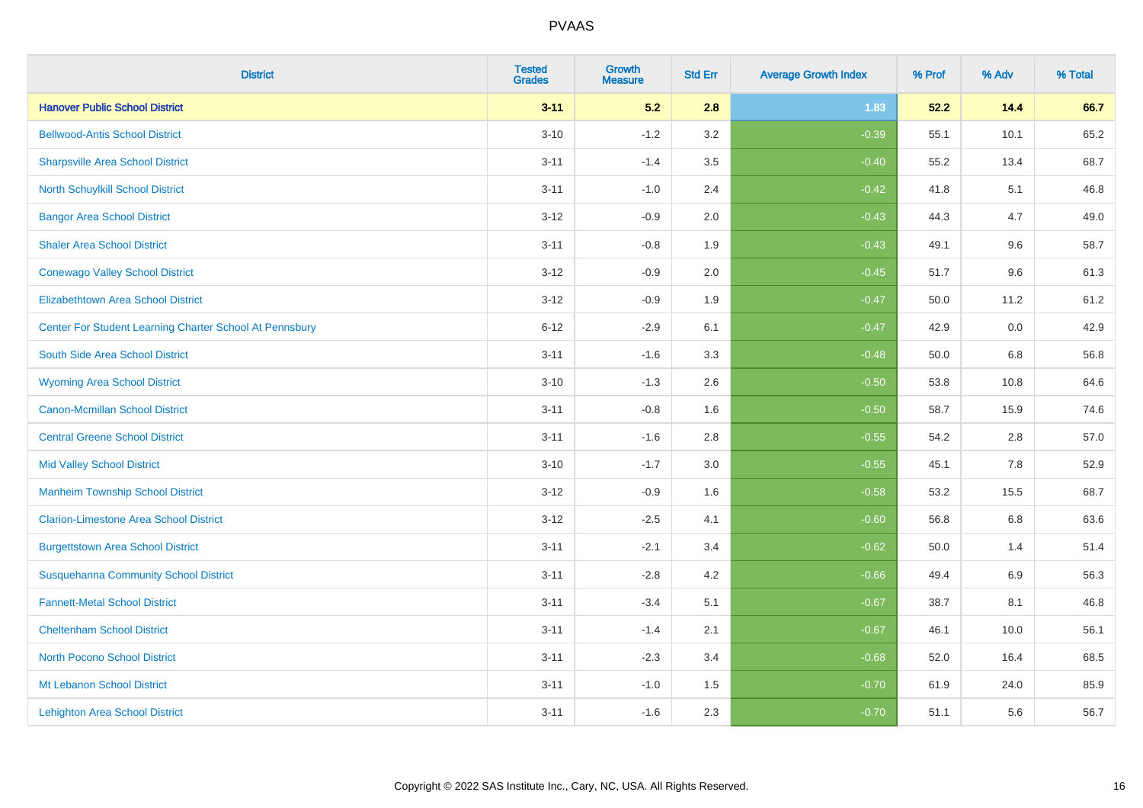| <b>District</b>                                         | <b>Tested</b><br><b>Grades</b> | <b>Growth</b><br><b>Measure</b> | <b>Std Err</b> | <b>Average Growth Index</b> | % Prof | % Adv   | % Total |
|---------------------------------------------------------|--------------------------------|---------------------------------|----------------|-----------------------------|--------|---------|---------|
| <b>Hanover Public School District</b>                   | $3 - 11$                       | 5.2                             | 2.8            | 1.83                        | 52.2   | 14.4    | 66.7    |
| <b>Bellwood-Antis School District</b>                   | $3 - 10$                       | $-1.2$                          | 3.2            | $-0.39$                     | 55.1   | 10.1    | 65.2    |
| <b>Sharpsville Area School District</b>                 | $3 - 11$                       | $-1.4$                          | 3.5            | $-0.40$                     | 55.2   | 13.4    | 68.7    |
| North Schuylkill School District                        | $3 - 11$                       | $-1.0$                          | 2.4            | $-0.42$                     | 41.8   | 5.1     | 46.8    |
| <b>Bangor Area School District</b>                      | $3 - 12$                       | $-0.9$                          | 2.0            | $-0.43$                     | 44.3   | 4.7     | 49.0    |
| <b>Shaler Area School District</b>                      | $3 - 11$                       | $-0.8$                          | 1.9            | $-0.43$                     | 49.1   | 9.6     | 58.7    |
| <b>Conewago Valley School District</b>                  | $3 - 12$                       | $-0.9$                          | 2.0            | $-0.45$                     | 51.7   | 9.6     | 61.3    |
| <b>Elizabethtown Area School District</b>               | $3 - 12$                       | $-0.9$                          | 1.9            | $-0.47$                     | 50.0   | 11.2    | 61.2    |
| Center For Student Learning Charter School At Pennsbury | $6 - 12$                       | $-2.9$                          | 6.1            | $-0.47$                     | 42.9   | 0.0     | 42.9    |
| South Side Area School District                         | $3 - 11$                       | $-1.6$                          | 3.3            | $-0.48$                     | 50.0   | 6.8     | 56.8    |
| <b>Wyoming Area School District</b>                     | $3 - 10$                       | $-1.3$                          | 2.6            | $-0.50$                     | 53.8   | 10.8    | 64.6    |
| <b>Canon-Mcmillan School District</b>                   | $3 - 11$                       | $-0.8$                          | 1.6            | $-0.50$                     | 58.7   | 15.9    | 74.6    |
| <b>Central Greene School District</b>                   | $3 - 11$                       | $-1.6$                          | 2.8            | $-0.55$                     | 54.2   | 2.8     | 57.0    |
| <b>Mid Valley School District</b>                       | $3 - 10$                       | $-1.7$                          | 3.0            | $-0.55$                     | 45.1   | 7.8     | 52.9    |
| <b>Manheim Township School District</b>                 | $3 - 12$                       | $-0.9$                          | 1.6            | $-0.58$                     | 53.2   | 15.5    | 68.7    |
| <b>Clarion-Limestone Area School District</b>           | $3 - 12$                       | $-2.5$                          | 4.1            | $-0.60$                     | 56.8   | $6.8\,$ | 63.6    |
| <b>Burgettstown Area School District</b>                | $3 - 11$                       | $-2.1$                          | 3.4            | $-0.62$                     | 50.0   | 1.4     | 51.4    |
| <b>Susquehanna Community School District</b>            | $3 - 11$                       | $-2.8$                          | 4.2            | $-0.66$                     | 49.4   | 6.9     | 56.3    |
| <b>Fannett-Metal School District</b>                    | $3 - 11$                       | $-3.4$                          | 5.1            | $-0.67$                     | 38.7   | 8.1     | 46.8    |
| <b>Cheltenham School District</b>                       | $3 - 11$                       | $-1.4$                          | 2.1            | $-0.67$                     | 46.1   | 10.0    | 56.1    |
| North Pocono School District                            | $3 - 11$                       | $-2.3$                          | 3.4            | $-0.68$                     | 52.0   | 16.4    | 68.5    |
| Mt Lebanon School District                              | $3 - 11$                       | $-1.0$                          | 1.5            | $-0.70$                     | 61.9   | 24.0    | 85.9    |
| <b>Lehighton Area School District</b>                   | $3 - 11$                       | $-1.6$                          | 2.3            | $-0.70$                     | 51.1   | 5.6     | 56.7    |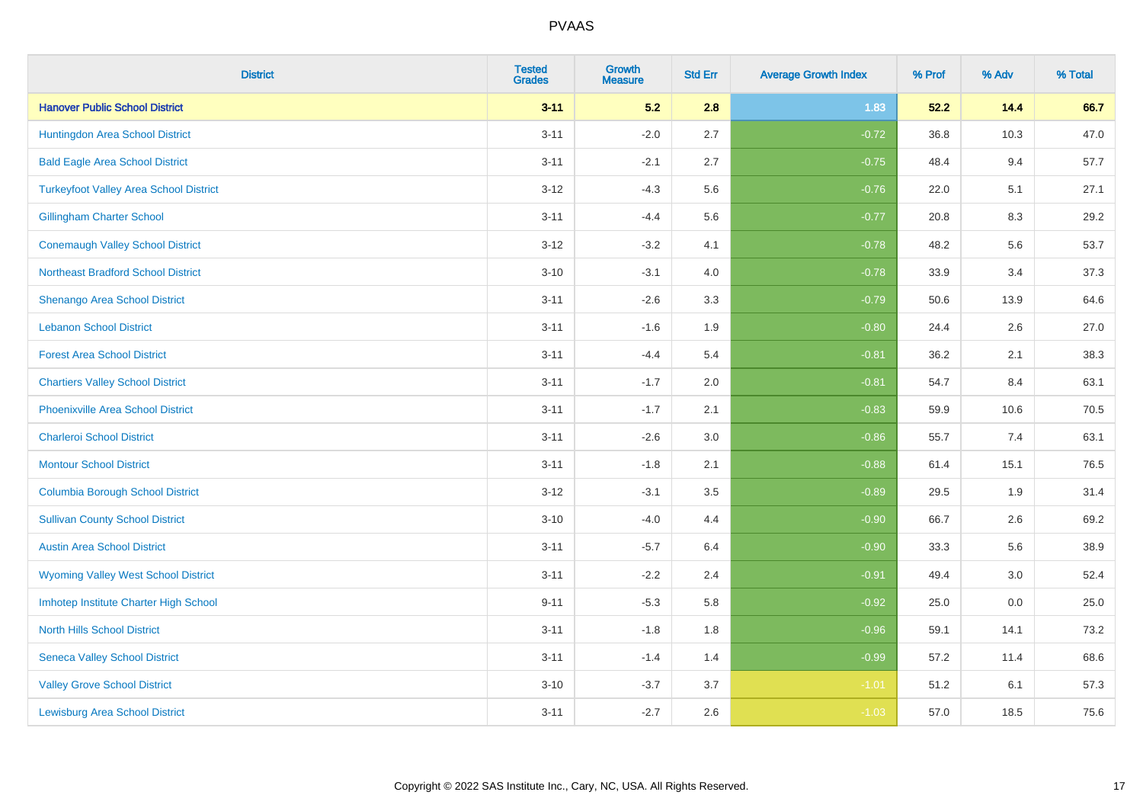| <b>District</b>                               | <b>Tested</b><br><b>Grades</b> | <b>Growth</b><br><b>Measure</b> | <b>Std Err</b> | <b>Average Growth Index</b> | % Prof | % Adv | % Total |
|-----------------------------------------------|--------------------------------|---------------------------------|----------------|-----------------------------|--------|-------|---------|
| <b>Hanover Public School District</b>         | $3 - 11$                       | 5.2                             | 2.8            | 1.83                        | 52.2   | 14.4  | 66.7    |
| Huntingdon Area School District               | $3 - 11$                       | $-2.0$                          | 2.7            | $-0.72$                     | 36.8   | 10.3  | 47.0    |
| <b>Bald Eagle Area School District</b>        | $3 - 11$                       | $-2.1$                          | 2.7            | $-0.75$                     | 48.4   | 9.4   | 57.7    |
| <b>Turkeyfoot Valley Area School District</b> | $3 - 12$                       | $-4.3$                          | 5.6            | $-0.76$                     | 22.0   | 5.1   | 27.1    |
| <b>Gillingham Charter School</b>              | $3 - 11$                       | $-4.4$                          | 5.6            | $-0.77$                     | 20.8   | 8.3   | 29.2    |
| <b>Conemaugh Valley School District</b>       | $3 - 12$                       | $-3.2$                          | 4.1            | $-0.78$                     | 48.2   | 5.6   | 53.7    |
| <b>Northeast Bradford School District</b>     | $3 - 10$                       | $-3.1$                          | 4.0            | $-0.78$                     | 33.9   | 3.4   | 37.3    |
| Shenango Area School District                 | $3 - 11$                       | $-2.6$                          | 3.3            | $-0.79$                     | 50.6   | 13.9  | 64.6    |
| <b>Lebanon School District</b>                | $3 - 11$                       | $-1.6$                          | 1.9            | $-0.80$                     | 24.4   | 2.6   | 27.0    |
| <b>Forest Area School District</b>            | $3 - 11$                       | $-4.4$                          | 5.4            | $-0.81$                     | 36.2   | 2.1   | 38.3    |
| <b>Chartiers Valley School District</b>       | $3 - 11$                       | $-1.7$                          | 2.0            | $-0.81$                     | 54.7   | 8.4   | 63.1    |
| <b>Phoenixville Area School District</b>      | $3 - 11$                       | $-1.7$                          | 2.1            | $-0.83$                     | 59.9   | 10.6  | 70.5    |
| <b>Charleroi School District</b>              | $3 - 11$                       | $-2.6$                          | 3.0            | $-0.86$                     | 55.7   | 7.4   | 63.1    |
| <b>Montour School District</b>                | $3 - 11$                       | $-1.8$                          | 2.1            | $-0.88$                     | 61.4   | 15.1  | 76.5    |
| <b>Columbia Borough School District</b>       | $3 - 12$                       | $-3.1$                          | 3.5            | $-0.89$                     | 29.5   | 1.9   | 31.4    |
| <b>Sullivan County School District</b>        | $3 - 10$                       | $-4.0$                          | 4.4            | $-0.90$                     | 66.7   | 2.6   | 69.2    |
| <b>Austin Area School District</b>            | $3 - 11$                       | $-5.7$                          | 6.4            | $-0.90$                     | 33.3   | 5.6   | 38.9    |
| <b>Wyoming Valley West School District</b>    | $3 - 11$                       | $-2.2$                          | 2.4            | $-0.91$                     | 49.4   | 3.0   | 52.4    |
| Imhotep Institute Charter High School         | $9 - 11$                       | $-5.3$                          | 5.8            | $-0.92$                     | 25.0   | 0.0   | 25.0    |
| <b>North Hills School District</b>            | $3 - 11$                       | $-1.8$                          | 1.8            | $-0.96$                     | 59.1   | 14.1  | 73.2    |
| <b>Seneca Valley School District</b>          | $3 - 11$                       | $-1.4$                          | 1.4            | $-0.99$                     | 57.2   | 11.4  | 68.6    |
| <b>Valley Grove School District</b>           | $3 - 10$                       | $-3.7$                          | 3.7            | $-1.01$                     | 51.2   | 6.1   | 57.3    |
| <b>Lewisburg Area School District</b>         | $3 - 11$                       | $-2.7$                          | 2.6            | $-1.03$                     | 57.0   | 18.5  | 75.6    |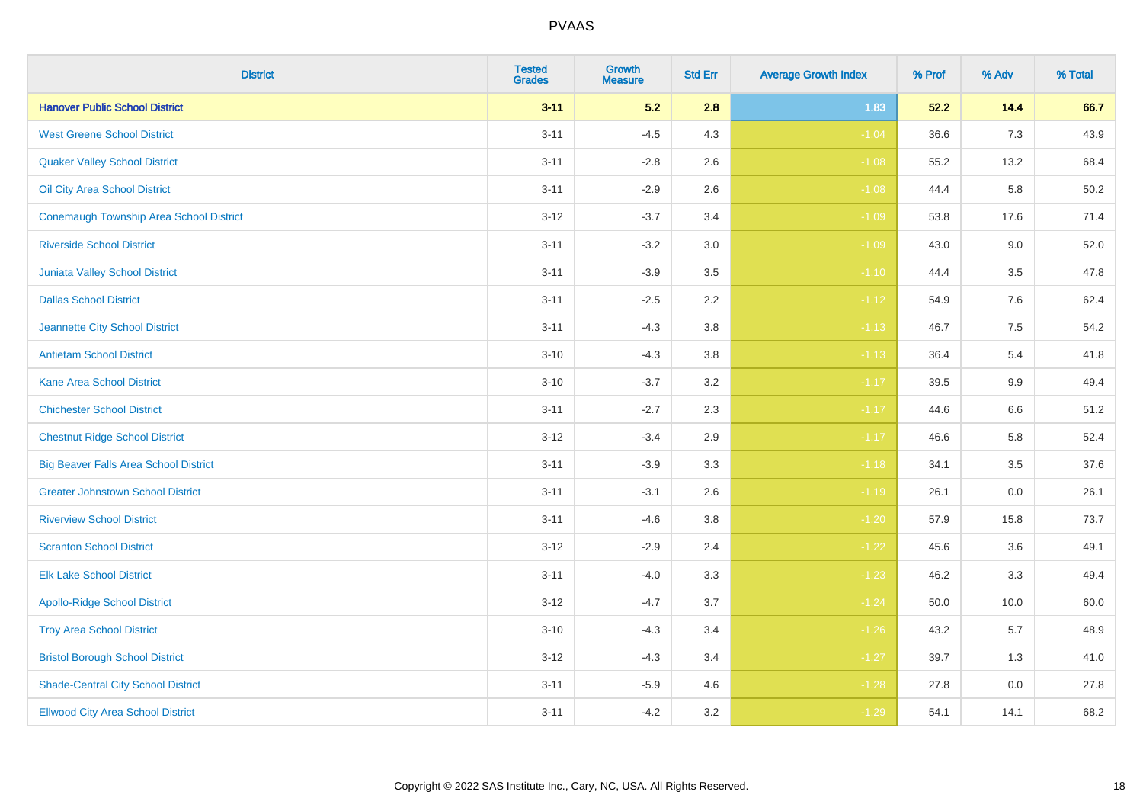| <b>District</b>                                | <b>Tested</b><br><b>Grades</b> | <b>Growth</b><br><b>Measure</b> | <b>Std Err</b> | <b>Average Growth Index</b> | % Prof | % Adv | % Total |
|------------------------------------------------|--------------------------------|---------------------------------|----------------|-----------------------------|--------|-------|---------|
| <b>Hanover Public School District</b>          | $3 - 11$                       | 5.2                             | 2.8            | 1.83                        | 52.2   | 14.4  | 66.7    |
| <b>West Greene School District</b>             | $3 - 11$                       | $-4.5$                          | 4.3            | $-1.04$                     | 36.6   | 7.3   | 43.9    |
| <b>Quaker Valley School District</b>           | $3 - 11$                       | $-2.8$                          | 2.6            | $-1.08$                     | 55.2   | 13.2  | 68.4    |
| Oil City Area School District                  | $3 - 11$                       | $-2.9$                          | 2.6            | $-1.08$                     | 44.4   | 5.8   | 50.2    |
| <b>Conemaugh Township Area School District</b> | $3 - 12$                       | $-3.7$                          | 3.4            | $-1.09$                     | 53.8   | 17.6  | 71.4    |
| <b>Riverside School District</b>               | $3 - 11$                       | $-3.2$                          | 3.0            | $-1.09$                     | 43.0   | 9.0   | 52.0    |
| <b>Juniata Valley School District</b>          | $3 - 11$                       | $-3.9$                          | 3.5            | $-1.10$                     | 44.4   | 3.5   | 47.8    |
| <b>Dallas School District</b>                  | $3 - 11$                       | $-2.5$                          | 2.2            | $-1.12$                     | 54.9   | 7.6   | 62.4    |
| Jeannette City School District                 | $3 - 11$                       | $-4.3$                          | 3.8            | $-1.13$                     | 46.7   | 7.5   | 54.2    |
| <b>Antietam School District</b>                | $3 - 10$                       | $-4.3$                          | 3.8            | $-1.13$                     | 36.4   | 5.4   | 41.8    |
| <b>Kane Area School District</b>               | $3 - 10$                       | $-3.7$                          | 3.2            | $-1.17$                     | 39.5   | 9.9   | 49.4    |
| <b>Chichester School District</b>              | $3 - 11$                       | $-2.7$                          | 2.3            | $-1.17$                     | 44.6   | 6.6   | 51.2    |
| <b>Chestnut Ridge School District</b>          | $3 - 12$                       | $-3.4$                          | 2.9            | $-1.17$                     | 46.6   | 5.8   | 52.4    |
| <b>Big Beaver Falls Area School District</b>   | $3 - 11$                       | $-3.9$                          | 3.3            | $-1.18$                     | 34.1   | 3.5   | 37.6    |
| <b>Greater Johnstown School District</b>       | $3 - 11$                       | $-3.1$                          | 2.6            | $-1.19$                     | 26.1   | 0.0   | 26.1    |
| <b>Riverview School District</b>               | $3 - 11$                       | $-4.6$                          | 3.8            | $-1.20$                     | 57.9   | 15.8  | 73.7    |
| <b>Scranton School District</b>                | $3 - 12$                       | $-2.9$                          | 2.4            | $-1.22$                     | 45.6   | 3.6   | 49.1    |
| <b>Elk Lake School District</b>                | $3 - 11$                       | $-4.0$                          | 3.3            | $-1.23$                     | 46.2   | 3.3   | 49.4    |
| <b>Apollo-Ridge School District</b>            | $3 - 12$                       | $-4.7$                          | 3.7            | $-1.24$                     | 50.0   | 10.0  | 60.0    |
| <b>Troy Area School District</b>               | $3 - 10$                       | $-4.3$                          | 3.4            | $-1.26$                     | 43.2   | 5.7   | 48.9    |
| <b>Bristol Borough School District</b>         | $3 - 12$                       | $-4.3$                          | 3.4            | $-1.27$                     | 39.7   | 1.3   | 41.0    |
| <b>Shade-Central City School District</b>      | $3 - 11$                       | $-5.9$                          | 4.6            | $-1.28$                     | 27.8   | 0.0   | 27.8    |
| <b>Ellwood City Area School District</b>       | $3 - 11$                       | $-4.2$                          | 3.2            | $-1.29$                     | 54.1   | 14.1  | 68.2    |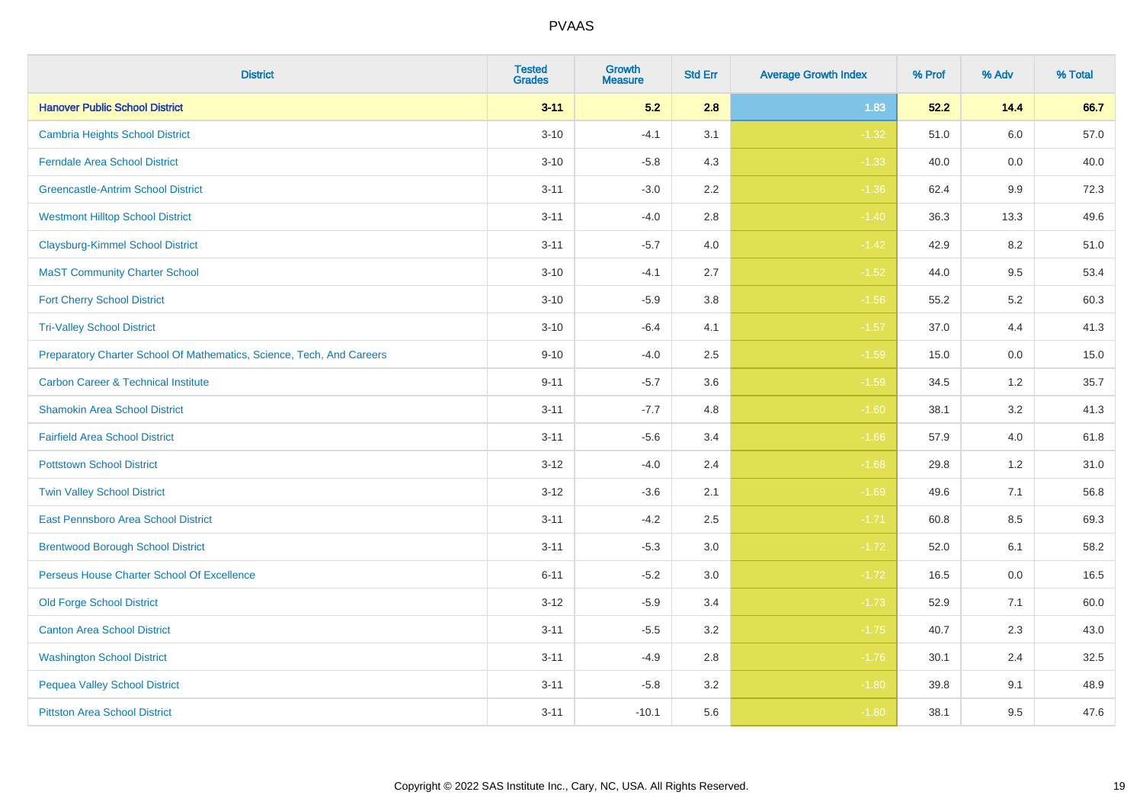| <b>District</b>                                                       | <b>Tested</b><br><b>Grades</b> | <b>Growth</b><br><b>Measure</b> | <b>Std Err</b> | <b>Average Growth Index</b> | % Prof | % Adv   | % Total |
|-----------------------------------------------------------------------|--------------------------------|---------------------------------|----------------|-----------------------------|--------|---------|---------|
| <b>Hanover Public School District</b>                                 | $3 - 11$                       | 5.2                             | 2.8            | 1.83                        | 52.2   | 14.4    | 66.7    |
| <b>Cambria Heights School District</b>                                | $3 - 10$                       | $-4.1$                          | 3.1            | $-1.32$                     | 51.0   | $6.0\,$ | 57.0    |
| <b>Ferndale Area School District</b>                                  | $3 - 10$                       | $-5.8$                          | 4.3            | $-1.33$                     | 40.0   | 0.0     | 40.0    |
| <b>Greencastle-Antrim School District</b>                             | $3 - 11$                       | $-3.0$                          | 2.2            | $-1.36$                     | 62.4   | 9.9     | 72.3    |
| <b>Westmont Hilltop School District</b>                               | $3 - 11$                       | $-4.0$                          | 2.8            | $-1.40$                     | 36.3   | 13.3    | 49.6    |
| <b>Claysburg-Kimmel School District</b>                               | $3 - 11$                       | $-5.7$                          | 4.0            | $-1.42$                     | 42.9   | 8.2     | 51.0    |
| <b>MaST Community Charter School</b>                                  | $3 - 10$                       | $-4.1$                          | 2.7            | $-1.52$                     | 44.0   | 9.5     | 53.4    |
| <b>Fort Cherry School District</b>                                    | $3 - 10$                       | $-5.9$                          | 3.8            | $-1.56$                     | 55.2   | 5.2     | 60.3    |
| <b>Tri-Valley School District</b>                                     | $3 - 10$                       | $-6.4$                          | 4.1            | $-1.57$                     | 37.0   | 4.4     | 41.3    |
| Preparatory Charter School Of Mathematics, Science, Tech, And Careers | $9 - 10$                       | $-4.0$                          | 2.5            | $-1.59$                     | 15.0   | 0.0     | 15.0    |
| <b>Carbon Career &amp; Technical Institute</b>                        | $9 - 11$                       | $-5.7$                          | 3.6            | $-1.59$                     | 34.5   | $1.2$   | 35.7    |
| <b>Shamokin Area School District</b>                                  | $3 - 11$                       | $-7.7$                          | 4.8            | $-1.60$                     | 38.1   | 3.2     | 41.3    |
| <b>Fairfield Area School District</b>                                 | $3 - 11$                       | $-5.6$                          | 3.4            | $-1.66$                     | 57.9   | 4.0     | 61.8    |
| <b>Pottstown School District</b>                                      | $3 - 12$                       | $-4.0$                          | 2.4            | $-1.68$                     | 29.8   | 1.2     | 31.0    |
| <b>Twin Valley School District</b>                                    | $3 - 12$                       | $-3.6$                          | 2.1            | $-1.69$                     | 49.6   | 7.1     | 56.8    |
| <b>East Pennsboro Area School District</b>                            | $3 - 11$                       | $-4.2$                          | 2.5            | $-1.71$                     | 60.8   | 8.5     | 69.3    |
| <b>Brentwood Borough School District</b>                              | $3 - 11$                       | $-5.3$                          | 3.0            | $-1.72$                     | 52.0   | 6.1     | 58.2    |
| Perseus House Charter School Of Excellence                            | $6 - 11$                       | $-5.2$                          | 3.0            | $-1.72$                     | 16.5   | 0.0     | 16.5    |
| <b>Old Forge School District</b>                                      | $3 - 12$                       | $-5.9$                          | 3.4            | $-1.73$                     | 52.9   | 7.1     | 60.0    |
| <b>Canton Area School District</b>                                    | $3 - 11$                       | $-5.5$                          | 3.2            | $-1.75$                     | 40.7   | 2.3     | 43.0    |
| <b>Washington School District</b>                                     | $3 - 11$                       | $-4.9$                          | 2.8            | $-1.76$                     | 30.1   | 2.4     | 32.5    |
| <b>Pequea Valley School District</b>                                  | $3 - 11$                       | $-5.8$                          | 3.2            | $-1.80$                     | 39.8   | 9.1     | 48.9    |
| <b>Pittston Area School District</b>                                  | $3 - 11$                       | $-10.1$                         | 5.6            | $-1.80$                     | 38.1   | 9.5     | 47.6    |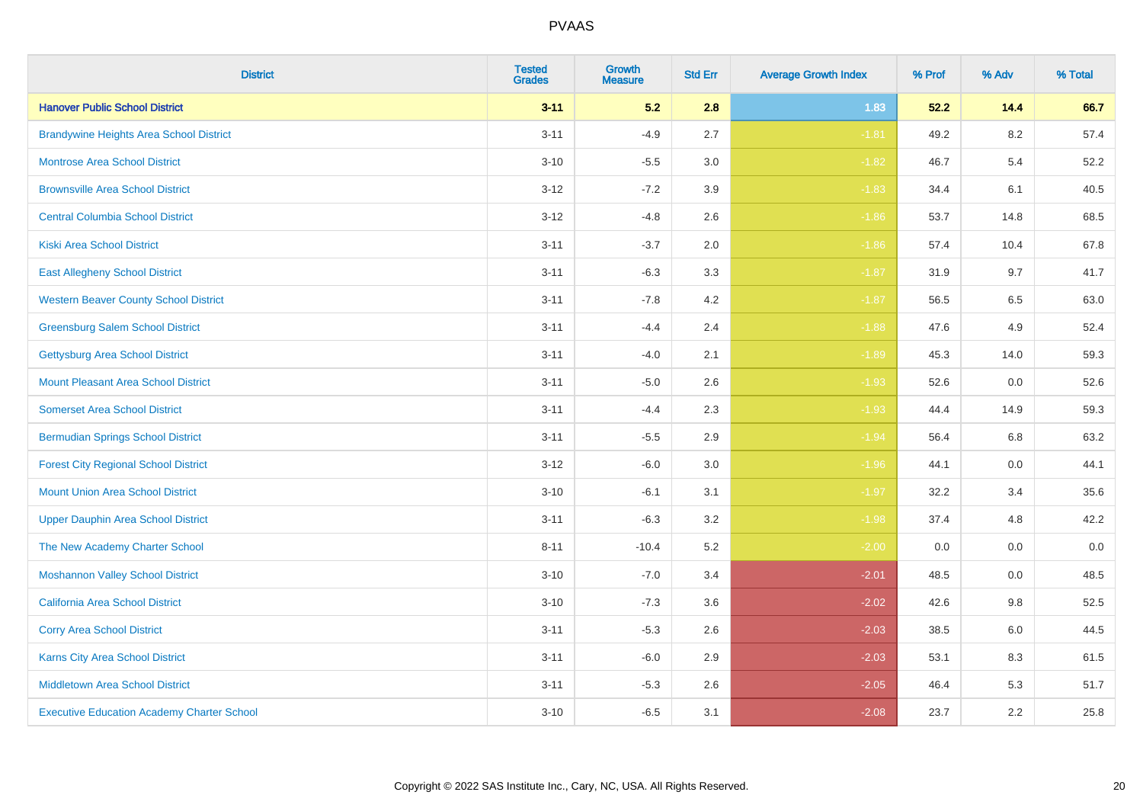| <b>District</b>                                   | <b>Tested</b><br><b>Grades</b> | Growth<br><b>Measure</b> | <b>Std Err</b> | <b>Average Growth Index</b> | % Prof | % Adv   | % Total |
|---------------------------------------------------|--------------------------------|--------------------------|----------------|-----------------------------|--------|---------|---------|
| <b>Hanover Public School District</b>             | $3 - 11$                       | 5.2                      | 2.8            | 1.83                        | 52.2   | 14.4    | 66.7    |
| <b>Brandywine Heights Area School District</b>    | $3 - 11$                       | $-4.9$                   | 2.7            | $-1.81$                     | 49.2   | 8.2     | 57.4    |
| <b>Montrose Area School District</b>              | $3 - 10$                       | $-5.5$                   | 3.0            | $-1.82$                     | 46.7   | 5.4     | 52.2    |
| <b>Brownsville Area School District</b>           | $3 - 12$                       | $-7.2$                   | 3.9            | $-1.83$                     | 34.4   | 6.1     | 40.5    |
| <b>Central Columbia School District</b>           | $3 - 12$                       | $-4.8$                   | 2.6            | $-1.86$                     | 53.7   | 14.8    | 68.5    |
| <b>Kiski Area School District</b>                 | $3 - 11$                       | $-3.7$                   | 2.0            | $-1.86$                     | 57.4   | 10.4    | 67.8    |
| <b>East Allegheny School District</b>             | $3 - 11$                       | $-6.3$                   | 3.3            | $-1.87$                     | 31.9   | 9.7     | 41.7    |
| <b>Western Beaver County School District</b>      | $3 - 11$                       | $-7.8$                   | 4.2            | $-1.87$                     | 56.5   | 6.5     | 63.0    |
| <b>Greensburg Salem School District</b>           | $3 - 11$                       | $-4.4$                   | 2.4            | $-1.88$                     | 47.6   | 4.9     | 52.4    |
| <b>Gettysburg Area School District</b>            | $3 - 11$                       | $-4.0$                   | 2.1            | $-1.89$                     | 45.3   | 14.0    | 59.3    |
| <b>Mount Pleasant Area School District</b>        | $3 - 11$                       | $-5.0$                   | 2.6            | $-1.93$                     | 52.6   | 0.0     | 52.6    |
| <b>Somerset Area School District</b>              | $3 - 11$                       | $-4.4$                   | 2.3            | $-1.93$                     | 44.4   | 14.9    | 59.3    |
| <b>Bermudian Springs School District</b>          | $3 - 11$                       | $-5.5$                   | 2.9            | $-1.94$                     | 56.4   | $6.8\,$ | 63.2    |
| <b>Forest City Regional School District</b>       | $3 - 12$                       | $-6.0$                   | 3.0            | $-1.96$                     | 44.1   | 0.0     | 44.1    |
| <b>Mount Union Area School District</b>           | $3 - 10$                       | $-6.1$                   | 3.1            | $-1.97$                     | 32.2   | 3.4     | 35.6    |
| <b>Upper Dauphin Area School District</b>         | $3 - 11$                       | $-6.3$                   | 3.2            | $-1.98$                     | 37.4   | 4.8     | 42.2    |
| The New Academy Charter School                    | $8 - 11$                       | $-10.4$                  | 5.2            | $-2.00$                     | 0.0    | 0.0     | $0.0\,$ |
| <b>Moshannon Valley School District</b>           | $3 - 10$                       | $-7.0$                   | 3.4            | $-2.01$                     | 48.5   | 0.0     | 48.5    |
| <b>California Area School District</b>            | $3 - 10$                       | $-7.3$                   | 3.6            | $-2.02$                     | 42.6   | 9.8     | 52.5    |
| <b>Corry Area School District</b>                 | $3 - 11$                       | $-5.3$                   | 2.6            | $-2.03$                     | 38.5   | 6.0     | 44.5    |
| <b>Karns City Area School District</b>            | $3 - 11$                       | $-6.0$                   | 2.9            | $-2.03$                     | 53.1   | 8.3     | 61.5    |
| <b>Middletown Area School District</b>            | $3 - 11$                       | $-5.3$                   | 2.6            | $-2.05$                     | 46.4   | 5.3     | 51.7    |
| <b>Executive Education Academy Charter School</b> | $3 - 10$                       | $-6.5$                   | 3.1            | $-2.08$                     | 23.7   | 2.2     | 25.8    |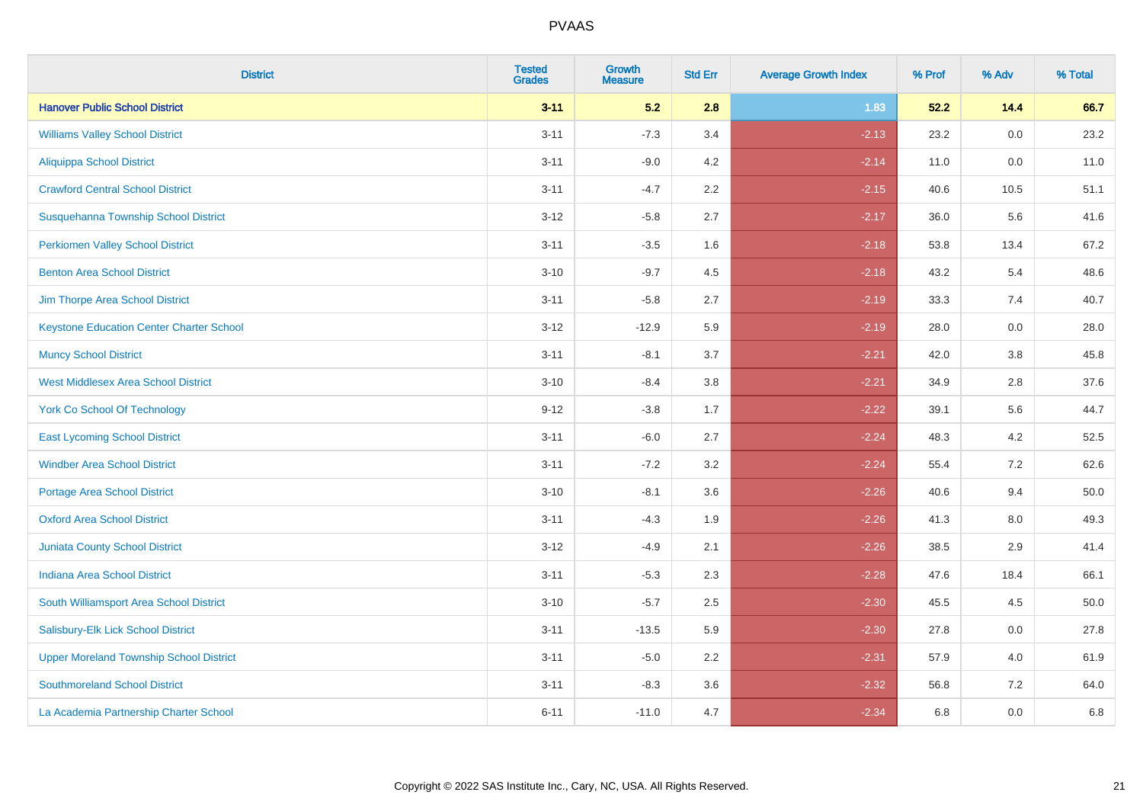| <b>District</b>                                 | <b>Tested</b><br><b>Grades</b> | <b>Growth</b><br><b>Measure</b> | <b>Std Err</b> | <b>Average Growth Index</b> | % Prof | % Adv   | % Total |
|-------------------------------------------------|--------------------------------|---------------------------------|----------------|-----------------------------|--------|---------|---------|
| <b>Hanover Public School District</b>           | $3 - 11$                       | 5.2                             | 2.8            | 1.83                        | 52.2   | 14.4    | 66.7    |
| <b>Williams Valley School District</b>          | $3 - 11$                       | $-7.3$                          | 3.4            | $-2.13$                     | 23.2   | 0.0     | 23.2    |
| <b>Aliquippa School District</b>                | $3 - 11$                       | $-9.0$                          | 4.2            | $-2.14$                     | 11.0   | 0.0     | 11.0    |
| <b>Crawford Central School District</b>         | $3 - 11$                       | $-4.7$                          | 2.2            | $-2.15$                     | 40.6   | 10.5    | 51.1    |
| Susquehanna Township School District            | $3 - 12$                       | $-5.8$                          | 2.7            | $-2.17$                     | 36.0   | 5.6     | 41.6    |
| <b>Perkiomen Valley School District</b>         | $3 - 11$                       | $-3.5$                          | 1.6            | $-2.18$                     | 53.8   | 13.4    | 67.2    |
| <b>Benton Area School District</b>              | $3 - 10$                       | $-9.7$                          | 4.5            | $-2.18$                     | 43.2   | 5.4     | 48.6    |
| Jim Thorpe Area School District                 | $3 - 11$                       | $-5.8$                          | 2.7            | $-2.19$                     | 33.3   | 7.4     | 40.7    |
| <b>Keystone Education Center Charter School</b> | $3 - 12$                       | $-12.9$                         | 5.9            | $-2.19$                     | 28.0   | 0.0     | 28.0    |
| <b>Muncy School District</b>                    | $3 - 11$                       | $-8.1$                          | 3.7            | $-2.21$                     | 42.0   | 3.8     | 45.8    |
| <b>West Middlesex Area School District</b>      | $3 - 10$                       | $-8.4$                          | 3.8            | $-2.21$                     | 34.9   | 2.8     | 37.6    |
| <b>York Co School Of Technology</b>             | $9 - 12$                       | $-3.8$                          | 1.7            | $-2.22$                     | 39.1   | 5.6     | 44.7    |
| <b>East Lycoming School District</b>            | $3 - 11$                       | $-6.0$                          | 2.7            | $-2.24$                     | 48.3   | 4.2     | 52.5    |
| <b>Windber Area School District</b>             | $3 - 11$                       | $-7.2$                          | 3.2            | $-2.24$                     | 55.4   | 7.2     | 62.6    |
| <b>Portage Area School District</b>             | $3 - 10$                       | $-8.1$                          | 3.6            | $-2.26$                     | 40.6   | 9.4     | 50.0    |
| <b>Oxford Area School District</b>              | $3 - 11$                       | $-4.3$                          | 1.9            | $-2.26$                     | 41.3   | $8.0\,$ | 49.3    |
| <b>Juniata County School District</b>           | $3 - 12$                       | $-4.9$                          | 2.1            | $-2.26$                     | 38.5   | 2.9     | 41.4    |
| <b>Indiana Area School District</b>             | $3 - 11$                       | $-5.3$                          | 2.3            | $-2.28$                     | 47.6   | 18.4    | 66.1    |
| South Williamsport Area School District         | $3 - 10$                       | $-5.7$                          | 2.5            | $-2.30$                     | 45.5   | 4.5     | 50.0    |
| Salisbury-Elk Lick School District              | $3 - 11$                       | $-13.5$                         | 5.9            | $-2.30$                     | 27.8   | 0.0     | 27.8    |
| <b>Upper Moreland Township School District</b>  | $3 - 11$                       | $-5.0$                          | 2.2            | $-2.31$                     | 57.9   | 4.0     | 61.9    |
| <b>Southmoreland School District</b>            | $3 - 11$                       | $-8.3$                          | 3.6            | $-2.32$                     | 56.8   | 7.2     | 64.0    |
| La Academia Partnership Charter School          | $6 - 11$                       | $-11.0$                         | 4.7            | $-2.34$                     | 6.8    | 0.0     | 6.8     |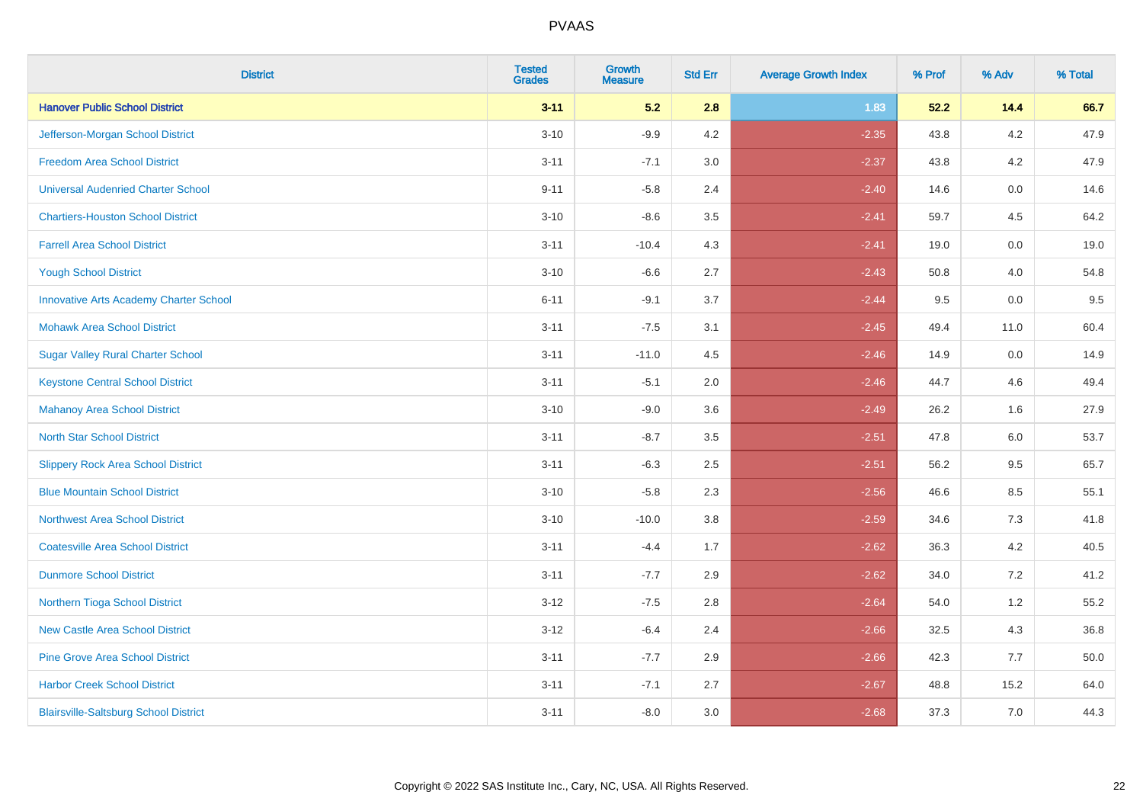| <b>District</b>                               | <b>Tested</b><br><b>Grades</b> | Growth<br><b>Measure</b> | <b>Std Err</b> | <b>Average Growth Index</b> | % Prof | % Adv | % Total |
|-----------------------------------------------|--------------------------------|--------------------------|----------------|-----------------------------|--------|-------|---------|
| <b>Hanover Public School District</b>         | $3 - 11$                       | 5.2                      | 2.8            | 1.83                        | 52.2   | 14.4  | 66.7    |
| Jefferson-Morgan School District              | $3 - 10$                       | $-9.9$                   | 4.2            | $-2.35$                     | 43.8   | 4.2   | 47.9    |
| <b>Freedom Area School District</b>           | $3 - 11$                       | $-7.1$                   | 3.0            | $-2.37$                     | 43.8   | 4.2   | 47.9    |
| <b>Universal Audenried Charter School</b>     | $9 - 11$                       | $-5.8$                   | 2.4            | $-2.40$                     | 14.6   | 0.0   | 14.6    |
| <b>Chartiers-Houston School District</b>      | $3 - 10$                       | $-8.6$                   | 3.5            | $-2.41$                     | 59.7   | 4.5   | 64.2    |
| <b>Farrell Area School District</b>           | $3 - 11$                       | $-10.4$                  | 4.3            | $-2.41$                     | 19.0   | 0.0   | 19.0    |
| <b>Yough School District</b>                  | $3 - 10$                       | $-6.6$                   | 2.7            | $-2.43$                     | 50.8   | 4.0   | 54.8    |
| <b>Innovative Arts Academy Charter School</b> | $6 - 11$                       | $-9.1$                   | 3.7            | $-2.44$                     | 9.5    | 0.0   | 9.5     |
| <b>Mohawk Area School District</b>            | $3 - 11$                       | $-7.5$                   | 3.1            | $-2.45$                     | 49.4   | 11.0  | 60.4    |
| <b>Sugar Valley Rural Charter School</b>      | $3 - 11$                       | $-11.0$                  | 4.5            | $-2.46$                     | 14.9   | 0.0   | 14.9    |
| <b>Keystone Central School District</b>       | $3 - 11$                       | $-5.1$                   | 2.0            | $-2.46$                     | 44.7   | 4.6   | 49.4    |
| <b>Mahanoy Area School District</b>           | $3 - 10$                       | $-9.0$                   | 3.6            | $-2.49$                     | 26.2   | 1.6   | 27.9    |
| <b>North Star School District</b>             | $3 - 11$                       | $-8.7$                   | 3.5            | $-2.51$                     | 47.8   | 6.0   | 53.7    |
| <b>Slippery Rock Area School District</b>     | $3 - 11$                       | $-6.3$                   | 2.5            | $-2.51$                     | 56.2   | 9.5   | 65.7    |
| <b>Blue Mountain School District</b>          | $3 - 10$                       | $-5.8$                   | 2.3            | $-2.56$                     | 46.6   | 8.5   | 55.1    |
| <b>Northwest Area School District</b>         | $3 - 10$                       | $-10.0$                  | 3.8            | $-2.59$                     | 34.6   | 7.3   | 41.8    |
| <b>Coatesville Area School District</b>       | $3 - 11$                       | $-4.4$                   | 1.7            | $-2.62$                     | 36.3   | 4.2   | 40.5    |
| <b>Dunmore School District</b>                | $3 - 11$                       | $-7.7$                   | 2.9            | $-2.62$                     | 34.0   | 7.2   | 41.2    |
| Northern Tioga School District                | $3 - 12$                       | $-7.5$                   | 2.8            | $-2.64$                     | 54.0   | 1.2   | 55.2    |
| <b>New Castle Area School District</b>        | $3 - 12$                       | $-6.4$                   | 2.4            | $-2.66$                     | 32.5   | 4.3   | 36.8    |
| <b>Pine Grove Area School District</b>        | $3 - 11$                       | $-7.7$                   | 2.9            | $-2.66$                     | 42.3   | 7.7   | 50.0    |
| <b>Harbor Creek School District</b>           | $3 - 11$                       | $-7.1$                   | 2.7            | $-2.67$                     | 48.8   | 15.2  | 64.0    |
| <b>Blairsville-Saltsburg School District</b>  | $3 - 11$                       | $-8.0$                   | 3.0            | $-2.68$                     | 37.3   | 7.0   | 44.3    |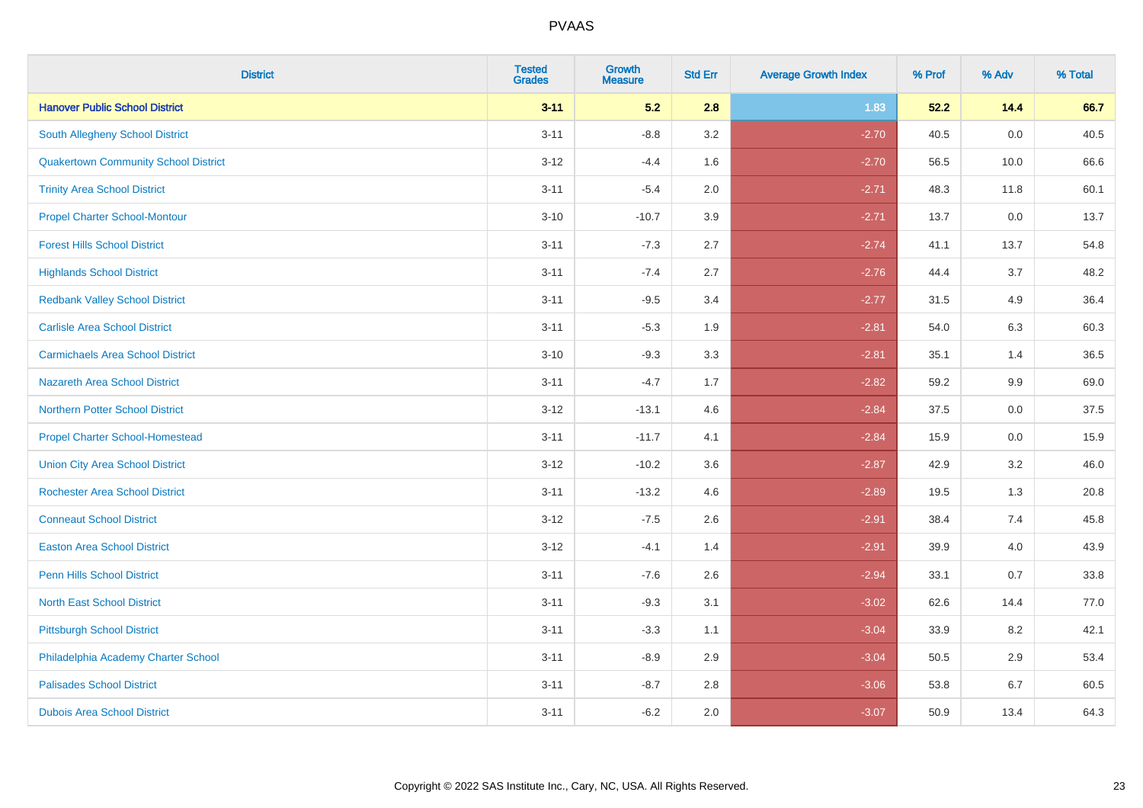| <b>District</b>                             | <b>Tested</b><br><b>Grades</b> | <b>Growth</b><br><b>Measure</b> | <b>Std Err</b> | <b>Average Growth Index</b> | % Prof | % Adv | % Total |
|---------------------------------------------|--------------------------------|---------------------------------|----------------|-----------------------------|--------|-------|---------|
| <b>Hanover Public School District</b>       | $3 - 11$                       | 5.2                             | 2.8            | 1.83                        | 52.2   | 14.4  | 66.7    |
| South Allegheny School District             | $3 - 11$                       | $-8.8$                          | 3.2            | $-2.70$                     | 40.5   | 0.0   | 40.5    |
| <b>Quakertown Community School District</b> | $3 - 12$                       | $-4.4$                          | 1.6            | $-2.70$                     | 56.5   | 10.0  | 66.6    |
| <b>Trinity Area School District</b>         | $3 - 11$                       | $-5.4$                          | 2.0            | $-2.71$                     | 48.3   | 11.8  | 60.1    |
| <b>Propel Charter School-Montour</b>        | $3 - 10$                       | $-10.7$                         | 3.9            | $-2.71$                     | 13.7   | 0.0   | 13.7    |
| <b>Forest Hills School District</b>         | $3 - 11$                       | $-7.3$                          | 2.7            | $-2.74$                     | 41.1   | 13.7  | 54.8    |
| <b>Highlands School District</b>            | $3 - 11$                       | $-7.4$                          | 2.7            | $-2.76$                     | 44.4   | 3.7   | 48.2    |
| <b>Redbank Valley School District</b>       | $3 - 11$                       | $-9.5$                          | 3.4            | $-2.77$                     | 31.5   | 4.9   | 36.4    |
| <b>Carlisle Area School District</b>        | $3 - 11$                       | $-5.3$                          | 1.9            | $-2.81$                     | 54.0   | 6.3   | 60.3    |
| <b>Carmichaels Area School District</b>     | $3 - 10$                       | $-9.3$                          | 3.3            | $-2.81$                     | 35.1   | 1.4   | 36.5    |
| Nazareth Area School District               | $3 - 11$                       | $-4.7$                          | 1.7            | $-2.82$                     | 59.2   | 9.9   | 69.0    |
| <b>Northern Potter School District</b>      | $3 - 12$                       | $-13.1$                         | 4.6            | $-2.84$                     | 37.5   | 0.0   | 37.5    |
| <b>Propel Charter School-Homestead</b>      | $3 - 11$                       | $-11.7$                         | 4.1            | $-2.84$                     | 15.9   | 0.0   | 15.9    |
| <b>Union City Area School District</b>      | $3-12$                         | $-10.2$                         | 3.6            | $-2.87$                     | 42.9   | 3.2   | 46.0    |
| <b>Rochester Area School District</b>       | $3 - 11$                       | $-13.2$                         | 4.6            | $-2.89$                     | 19.5   | 1.3   | 20.8    |
| <b>Conneaut School District</b>             | $3 - 12$                       | $-7.5$                          | 2.6            | $-2.91$                     | 38.4   | 7.4   | 45.8    |
| <b>Easton Area School District</b>          | $3 - 12$                       | $-4.1$                          | 1.4            | $-2.91$                     | 39.9   | 4.0   | 43.9    |
| <b>Penn Hills School District</b>           | $3 - 11$                       | $-7.6$                          | 2.6            | $-2.94$                     | 33.1   | 0.7   | 33.8    |
| <b>North East School District</b>           | $3 - 11$                       | $-9.3$                          | 3.1            | $-3.02$                     | 62.6   | 14.4  | 77.0    |
| <b>Pittsburgh School District</b>           | $3 - 11$                       | $-3.3$                          | 1.1            | $-3.04$                     | 33.9   | 8.2   | 42.1    |
| Philadelphia Academy Charter School         | $3 - 11$                       | $-8.9$                          | 2.9            | $-3.04$                     | 50.5   | 2.9   | 53.4    |
| <b>Palisades School District</b>            | $3 - 11$                       | $-8.7$                          | 2.8            | $-3.06$                     | 53.8   | 6.7   | 60.5    |
| <b>Dubois Area School District</b>          | $3 - 11$                       | $-6.2$                          | 2.0            | $-3.07$                     | 50.9   | 13.4  | 64.3    |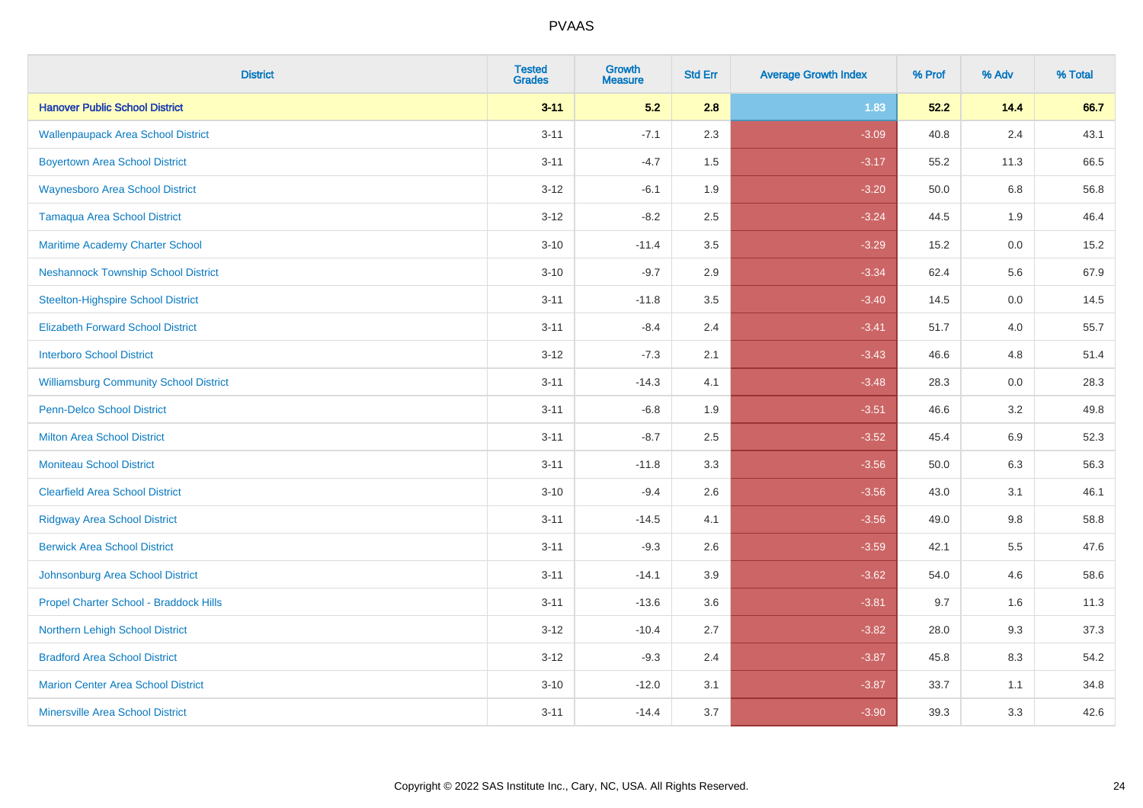| <b>District</b>                               | <b>Tested</b><br><b>Grades</b> | <b>Growth</b><br><b>Measure</b> | <b>Std Err</b> | <b>Average Growth Index</b> | % Prof | % Adv   | % Total |
|-----------------------------------------------|--------------------------------|---------------------------------|----------------|-----------------------------|--------|---------|---------|
| <b>Hanover Public School District</b>         | $3 - 11$                       | 5.2                             | 2.8            | 1.83                        | 52.2   | 14.4    | 66.7    |
| <b>Wallenpaupack Area School District</b>     | $3 - 11$                       | $-7.1$                          | 2.3            | $-3.09$                     | 40.8   | 2.4     | 43.1    |
| <b>Boyertown Area School District</b>         | $3 - 11$                       | $-4.7$                          | 1.5            | $-3.17$                     | 55.2   | 11.3    | 66.5    |
| <b>Waynesboro Area School District</b>        | $3 - 12$                       | $-6.1$                          | 1.9            | $-3.20$                     | 50.0   | 6.8     | 56.8    |
| <b>Tamaqua Area School District</b>           | $3 - 12$                       | $-8.2$                          | 2.5            | $-3.24$                     | 44.5   | 1.9     | 46.4    |
| Maritime Academy Charter School               | $3 - 10$                       | $-11.4$                         | 3.5            | $-3.29$                     | 15.2   | 0.0     | 15.2    |
| <b>Neshannock Township School District</b>    | $3 - 10$                       | $-9.7$                          | 2.9            | $-3.34$                     | 62.4   | 5.6     | 67.9    |
| <b>Steelton-Highspire School District</b>     | $3 - 11$                       | $-11.8$                         | 3.5            | $-3.40$                     | 14.5   | 0.0     | 14.5    |
| <b>Elizabeth Forward School District</b>      | $3 - 11$                       | $-8.4$                          | 2.4            | $-3.41$                     | 51.7   | 4.0     | 55.7    |
| <b>Interboro School District</b>              | $3 - 12$                       | $-7.3$                          | 2.1            | $-3.43$                     | 46.6   | 4.8     | 51.4    |
| <b>Williamsburg Community School District</b> | $3 - 11$                       | $-14.3$                         | 4.1            | $-3.48$                     | 28.3   | 0.0     | 28.3    |
| <b>Penn-Delco School District</b>             | $3 - 11$                       | $-6.8$                          | 1.9            | $-3.51$                     | 46.6   | 3.2     | 49.8    |
| <b>Milton Area School District</b>            | $3 - 11$                       | $-8.7$                          | 2.5            | $-3.52$                     | 45.4   | 6.9     | 52.3    |
| <b>Moniteau School District</b>               | $3 - 11$                       | $-11.8$                         | 3.3            | $-3.56$                     | 50.0   | 6.3     | 56.3    |
| <b>Clearfield Area School District</b>        | $3 - 10$                       | $-9.4$                          | 2.6            | $-3.56$                     | 43.0   | 3.1     | 46.1    |
| <b>Ridgway Area School District</b>           | $3 - 11$                       | $-14.5$                         | 4.1            | $-3.56$                     | 49.0   | $9.8\,$ | 58.8    |
| <b>Berwick Area School District</b>           | $3 - 11$                       | $-9.3$                          | 2.6            | $-3.59$                     | 42.1   | 5.5     | 47.6    |
| Johnsonburg Area School District              | $3 - 11$                       | $-14.1$                         | 3.9            | $-3.62$                     | 54.0   | 4.6     | 58.6    |
| Propel Charter School - Braddock Hills        | $3 - 11$                       | $-13.6$                         | 3.6            | $-3.81$                     | 9.7    | 1.6     | 11.3    |
| Northern Lehigh School District               | $3 - 12$                       | $-10.4$                         | 2.7            | $-3.82$                     | 28.0   | 9.3     | 37.3    |
| <b>Bradford Area School District</b>          | $3 - 12$                       | $-9.3$                          | 2.4            | $-3.87$                     | 45.8   | 8.3     | 54.2    |
| <b>Marion Center Area School District</b>     | $3 - 10$                       | $-12.0$                         | 3.1            | $-3.87$                     | 33.7   | 1.1     | 34.8    |
| <b>Minersville Area School District</b>       | $3 - 11$                       | $-14.4$                         | 3.7            | $-3.90$                     | 39.3   | 3.3     | 42.6    |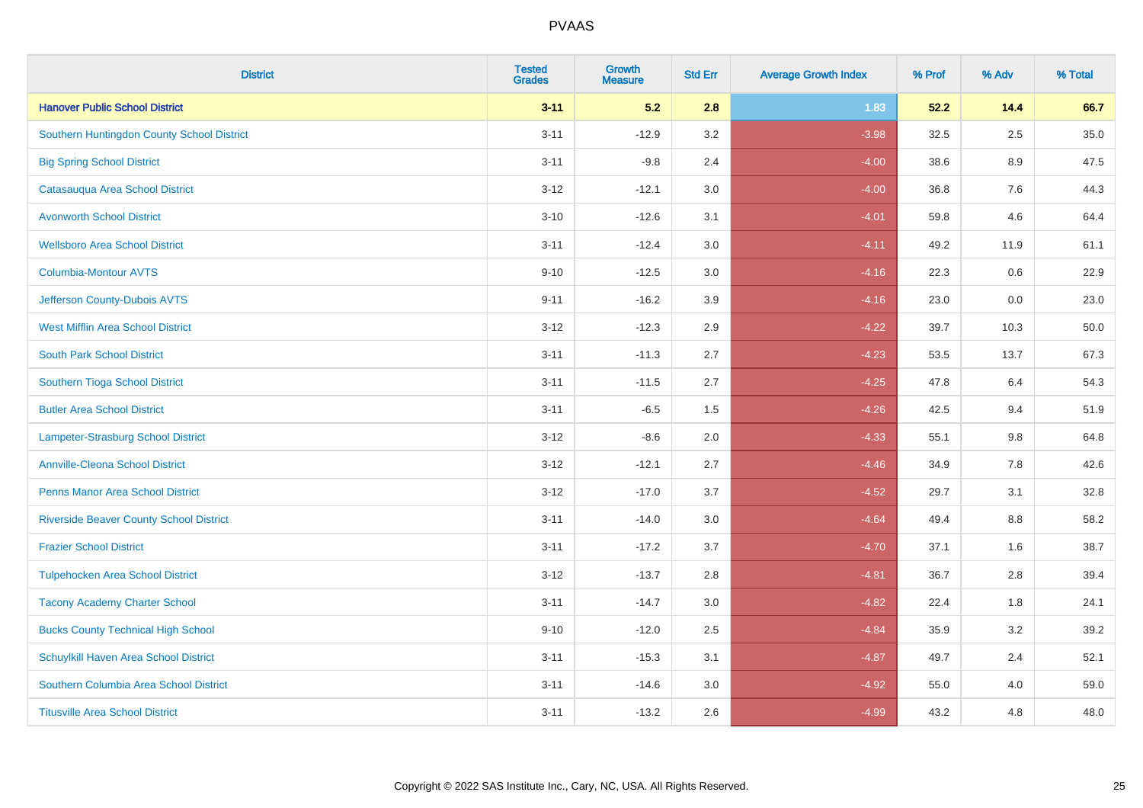| <b>District</b>                                | <b>Tested</b><br><b>Grades</b> | <b>Growth</b><br><b>Measure</b> | <b>Std Err</b> | <b>Average Growth Index</b> | % Prof | % Adv   | % Total  |
|------------------------------------------------|--------------------------------|---------------------------------|----------------|-----------------------------|--------|---------|----------|
| <b>Hanover Public School District</b>          | $3 - 11$                       | 5.2                             | 2.8            | 1.83                        | 52.2   | 14.4    | 66.7     |
| Southern Huntingdon County School District     | $3 - 11$                       | $-12.9$                         | 3.2            | $-3.98$                     | 32.5   | $2.5\,$ | $35.0\,$ |
| <b>Big Spring School District</b>              | $3 - 11$                       | $-9.8$                          | 2.4            | $-4.00$                     | 38.6   | 8.9     | 47.5     |
| Catasauqua Area School District                | $3 - 12$                       | $-12.1$                         | 3.0            | $-4.00$                     | 36.8   | 7.6     | 44.3     |
| <b>Avonworth School District</b>               | $3 - 10$                       | $-12.6$                         | 3.1            | $-4.01$                     | 59.8   | 4.6     | 64.4     |
| <b>Wellsboro Area School District</b>          | $3 - 11$                       | $-12.4$                         | 3.0            | $-4.11$                     | 49.2   | 11.9    | 61.1     |
| <b>Columbia-Montour AVTS</b>                   | $9 - 10$                       | $-12.5$                         | 3.0            | $-4.16$                     | 22.3   | 0.6     | 22.9     |
| Jefferson County-Dubois AVTS                   | $9 - 11$                       | $-16.2$                         | 3.9            | $-4.16$                     | 23.0   | 0.0     | 23.0     |
| <b>West Mifflin Area School District</b>       | $3 - 12$                       | $-12.3$                         | 2.9            | $-4.22$                     | 39.7   | 10.3    | 50.0     |
| <b>South Park School District</b>              | $3 - 11$                       | $-11.3$                         | 2.7            | $-4.23$                     | 53.5   | 13.7    | 67.3     |
| Southern Tioga School District                 | $3 - 11$                       | $-11.5$                         | 2.7            | $-4.25$                     | 47.8   | 6.4     | 54.3     |
| <b>Butler Area School District</b>             | $3 - 11$                       | $-6.5$                          | 1.5            | $-4.26$                     | 42.5   | 9.4     | 51.9     |
| <b>Lampeter-Strasburg School District</b>      | $3 - 12$                       | $-8.6$                          | 2.0            | $-4.33$                     | 55.1   | $9.8\,$ | 64.8     |
| <b>Annville-Cleona School District</b>         | $3 - 12$                       | $-12.1$                         | 2.7            | $-4.46$                     | 34.9   | 7.8     | 42.6     |
| <b>Penns Manor Area School District</b>        | $3 - 12$                       | $-17.0$                         | 3.7            | $-4.52$                     | 29.7   | 3.1     | 32.8     |
| <b>Riverside Beaver County School District</b> | $3 - 11$                       | $-14.0$                         | 3.0            | $-4.64$                     | 49.4   | $8.8\,$ | 58.2     |
| <b>Frazier School District</b>                 | $3 - 11$                       | $-17.2$                         | 3.7            | $-4.70$                     | 37.1   | 1.6     | 38.7     |
| <b>Tulpehocken Area School District</b>        | $3 - 12$                       | $-13.7$                         | 2.8            | $-4.81$                     | 36.7   | 2.8     | 39.4     |
| <b>Tacony Academy Charter School</b>           | $3 - 11$                       | $-14.7$                         | 3.0            | $-4.82$                     | 22.4   | 1.8     | 24.1     |
| <b>Bucks County Technical High School</b>      | $9 - 10$                       | $-12.0$                         | 2.5            | $-4.84$                     | 35.9   | 3.2     | 39.2     |
| Schuylkill Haven Area School District          | $3 - 11$                       | $-15.3$                         | 3.1            | $-4.87$                     | 49.7   | 2.4     | 52.1     |
| Southern Columbia Area School District         | $3 - 11$                       | $-14.6$                         | 3.0            | $-4.92$                     | 55.0   | 4.0     | 59.0     |
| <b>Titusville Area School District</b>         | $3 - 11$                       | $-13.2$                         | 2.6            | $-4.99$                     | 43.2   | 4.8     | 48.0     |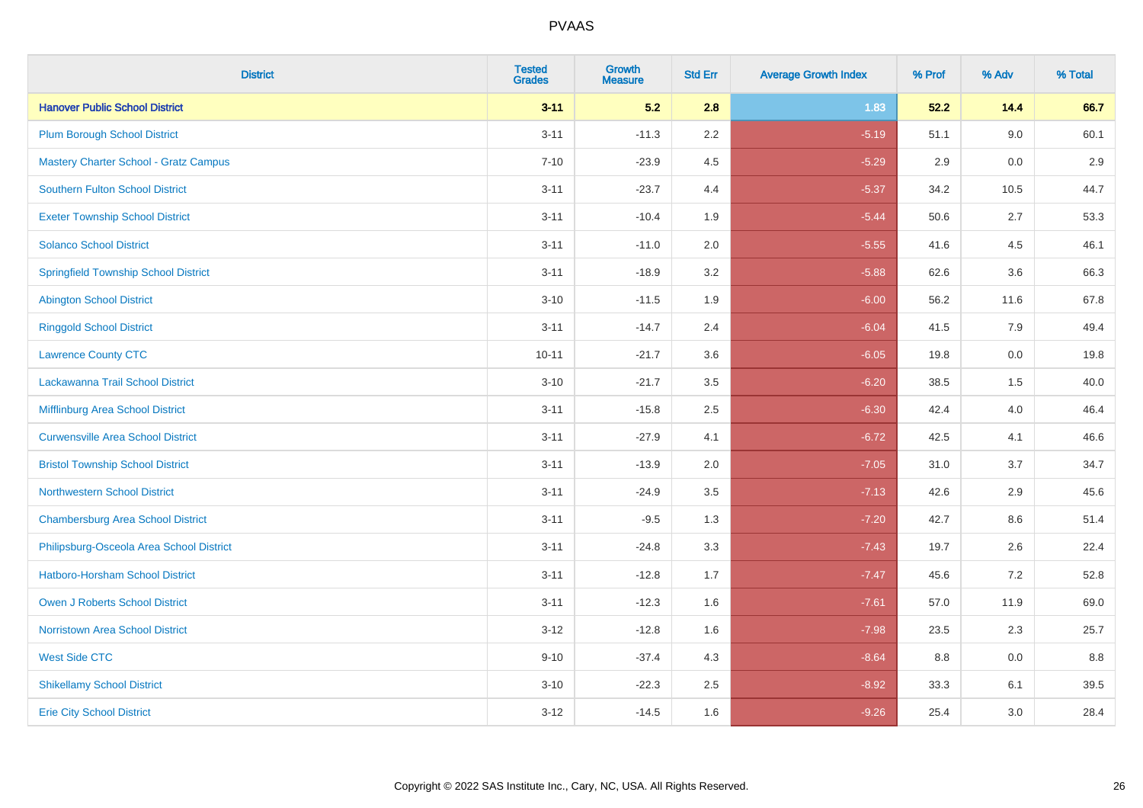| <b>District</b>                              | <b>Tested</b><br><b>Grades</b> | <b>Growth</b><br><b>Measure</b> | <b>Std Err</b> | <b>Average Growth Index</b> | % Prof | % Adv | % Total |
|----------------------------------------------|--------------------------------|---------------------------------|----------------|-----------------------------|--------|-------|---------|
| <b>Hanover Public School District</b>        | $3 - 11$                       | 5.2                             | 2.8            | 1.83                        | 52.2   | 14.4  | 66.7    |
| <b>Plum Borough School District</b>          | $3 - 11$                       | $-11.3$                         | $2.2\,$        | $-5.19$                     | 51.1   | 9.0   | 60.1    |
| <b>Mastery Charter School - Gratz Campus</b> | $7 - 10$                       | $-23.9$                         | 4.5            | $-5.29$                     | 2.9    | 0.0   | 2.9     |
| Southern Fulton School District              | $3 - 11$                       | $-23.7$                         | 4.4            | $-5.37$                     | 34.2   | 10.5  | 44.7    |
| <b>Exeter Township School District</b>       | $3 - 11$                       | $-10.4$                         | 1.9            | $-5.44$                     | 50.6   | 2.7   | 53.3    |
| <b>Solanco School District</b>               | $3 - 11$                       | $-11.0$                         | 2.0            | $-5.55$                     | 41.6   | 4.5   | 46.1    |
| <b>Springfield Township School District</b>  | $3 - 11$                       | $-18.9$                         | 3.2            | $-5.88$                     | 62.6   | 3.6   | 66.3    |
| <b>Abington School District</b>              | $3 - 10$                       | $-11.5$                         | 1.9            | $-6.00$                     | 56.2   | 11.6  | 67.8    |
| <b>Ringgold School District</b>              | $3 - 11$                       | $-14.7$                         | 2.4            | $-6.04$                     | 41.5   | 7.9   | 49.4    |
| <b>Lawrence County CTC</b>                   | $10 - 11$                      | $-21.7$                         | 3.6            | $-6.05$                     | 19.8   | 0.0   | 19.8    |
| Lackawanna Trail School District             | $3 - 10$                       | $-21.7$                         | 3.5            | $-6.20$                     | 38.5   | 1.5   | 40.0    |
| Mifflinburg Area School District             | $3 - 11$                       | $-15.8$                         | 2.5            | $-6.30$                     | 42.4   | 4.0   | 46.4    |
| <b>Curwensville Area School District</b>     | $3 - 11$                       | $-27.9$                         | 4.1            | $-6.72$                     | 42.5   | 4.1   | 46.6    |
| <b>Bristol Township School District</b>      | $3 - 11$                       | $-13.9$                         | 2.0            | $-7.05$                     | 31.0   | 3.7   | 34.7    |
| <b>Northwestern School District</b>          | $3 - 11$                       | $-24.9$                         | 3.5            | $-7.13$                     | 42.6   | 2.9   | 45.6    |
| <b>Chambersburg Area School District</b>     | $3 - 11$                       | $-9.5$                          | 1.3            | $-7.20$                     | 42.7   | 8.6   | 51.4    |
| Philipsburg-Osceola Area School District     | $3 - 11$                       | $-24.8$                         | 3.3            | $-7.43$                     | 19.7   | 2.6   | 22.4    |
| Hatboro-Horsham School District              | $3 - 11$                       | $-12.8$                         | 1.7            | $-7.47$                     | 45.6   | 7.2   | 52.8    |
| <b>Owen J Roberts School District</b>        | $3 - 11$                       | $-12.3$                         | 1.6            | $-7.61$                     | 57.0   | 11.9  | 69.0    |
| <b>Norristown Area School District</b>       | $3 - 12$                       | $-12.8$                         | 1.6            | $-7.98$                     | 23.5   | 2.3   | 25.7    |
| <b>West Side CTC</b>                         | $9 - 10$                       | $-37.4$                         | 4.3            | $-8.64$                     | 8.8    | 0.0   | 8.8     |
| <b>Shikellamy School District</b>            | $3 - 10$                       | $-22.3$                         | 2.5            | $-8.92$                     | 33.3   | 6.1   | 39.5    |
| <b>Erie City School District</b>             | $3 - 12$                       | $-14.5$                         | 1.6            | $-9.26$                     | 25.4   | 3.0   | 28.4    |